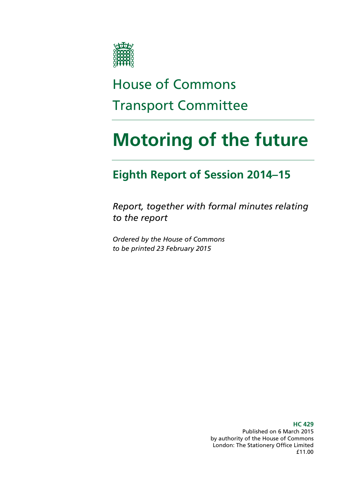

# House of Commons Transport Committee

# **Motoring of the future**

# **Eighth Report of Session 2014–15**

*Report, together with formal minutes relating to the report*

*Ordered by the House of Commons to be printed 23 February 2015*

> **HC 429** Published on 6 March 2015 by authority of the House of Commons London: The Stationery Office Limited £11.00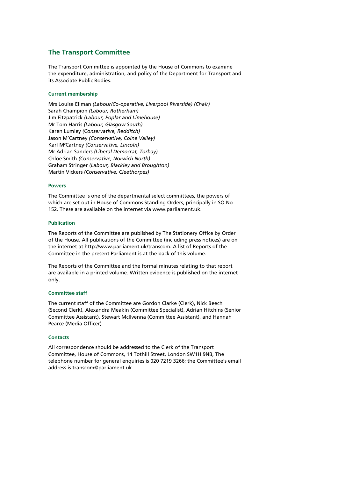#### **The Transport Committee**

The Transport Committee is appointed by the House of Commons to examine the expenditure, administration, and policy of the Department for Transport and its Associate Public Bodies.

#### **Current membership**

Mrs Louise Ellman *(Labour/Co-operative, Liverpool Riverside) (Chair)* Sarah Champion *(Labour, Rotherham)* Jim Fitzpatrick *(Labour, Poplar and Limehouse)* Mr Tom Harris *(Labour, Glasgow South)* Karen Lumley *(Conservative, Redditch)* Jason Mc Cartney *(Conservative, Colne Valley)* Karl Mc Cartney *(Conservative, Lincoln)* Mr Adrian Sanders *(Liberal Democrat, Torbay)* Chloe Smith *(Conservative, Norwich North)* Graham Stringer *(Labour, Blackley and Broughton)* Martin Vickers *(Conservative, Cleethorpes)*

#### **Powers**

The Committee is one of the departmental select committees, the powers of which are set out in House of Commons Standing Orders, principally in SO No 152. These are available on the internet via www.parliament.uk.

#### **Publication**

The Reports of the Committee are published by The Stationery Office by Order of the House. All publications of the Committee (including press notices) are on the internet at [http://www.parliament.uk/transcom.](http://www.parliament.uk/business/committees/committees-a-z/commons-select/transport-committee/) A list of Reports of the Committee in the present Parliament is at the back of this volume.

The Reports of the Committee and the formal minutes relating to that report are available in a printed volume. Written evidence is published on the internet only.

#### **Committee staff**

The current staff of the Committee are Gordon Clarke (Clerk), Nick Beech (Second Clerk), Alexandra Meakin (Committee Specialist), Adrian Hitchins (Senior Committee Assistant), Stewart McIlvenna (Committee Assistant), and Hannah Pearce (Media Officer)

#### **Contacts**

All correspondence should be addressed to the Clerk of the Transport Committee, House of Commons, 14 Tothill Street, London SW1H 9NB, The telephone number for general enquiries is 020 7219 3266; the Committee's email address i[s transcom@parliament.uk](mailto:transcom@parliament.uk)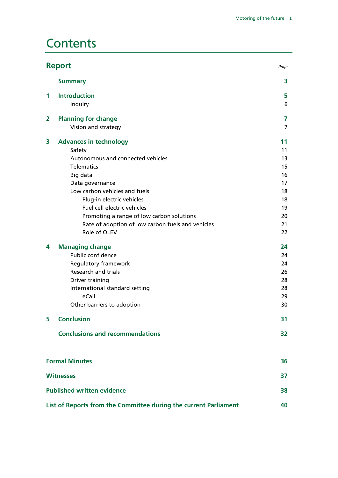# **Contents**

| <b>Report</b><br>Page   |                                                                  |    |
|-------------------------|------------------------------------------------------------------|----|
|                         | <b>Summary</b>                                                   | 3  |
| 1                       | <b>Introduction</b>                                              | 5  |
|                         | Inquiry                                                          | 6  |
| $\overline{\mathbf{2}}$ | <b>Planning for change</b>                                       | 7  |
|                         | Vision and strategy                                              | 7  |
| 3                       | <b>Advances in technology</b>                                    | 11 |
|                         | Safety                                                           | 11 |
|                         | Autonomous and connected vehicles                                | 13 |
|                         | <b>Telematics</b>                                                | 15 |
|                         | Big data                                                         | 16 |
|                         | Data governance                                                  | 17 |
|                         | Low carbon vehicles and fuels                                    | 18 |
|                         | Plug-in electric vehicles                                        | 18 |
|                         | Fuel cell electric vehicles                                      | 19 |
|                         | Promoting a range of low carbon solutions                        | 20 |
|                         | Rate of adoption of low carbon fuels and vehicles                | 21 |
|                         | Role of OLEV                                                     | 22 |
| 4                       | <b>Managing change</b>                                           | 24 |
|                         | Public confidence                                                | 24 |
|                         | Regulatory framework                                             | 24 |
|                         | <b>Research and trials</b>                                       | 26 |
|                         | Driver training                                                  | 28 |
|                         | International standard setting                                   | 28 |
|                         | eCall                                                            | 29 |
|                         | Other barriers to adoption                                       | 30 |
| 5                       | <b>Conclusion</b>                                                | 31 |
|                         | <b>Conclusions and recommendations</b>                           | 32 |
|                         |                                                                  |    |
|                         | <b>Formal Minutes</b>                                            | 36 |
|                         | <b>Witnesses</b>                                                 | 37 |
|                         | <b>Published written evidence</b>                                | 38 |
|                         | List of Reports from the Committee during the current Parliament | 40 |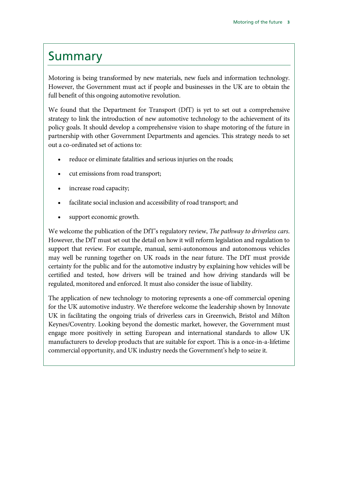# <span id="page-4-0"></span>Summary

Motoring is being transformed by new materials, new fuels and information technology. However, the Government must act if people and businesses in the UK are to obtain the full benefit of this ongoing automotive revolution.

We found that the Department for Transport (DfT) is yet to set out a comprehensive strategy to link the introduction of new automotive technology to the achievement of its policy goals. It should develop a comprehensive vision to shape motoring of the future in partnership with other Government Departments and agencies. This strategy needs to set out a co-ordinated set of actions to:

- reduce or eliminate fatalities and serious injuries on the roads;
- cut emissions from road transport;
- increase road capacity;
- facilitate social inclusion and accessibility of road transport; and
- support economic growth.

We welcome the publication of the DfT's regulatory review, *The pathway to driverless cars*. However, the DfT must set out the detail on how it will reform legislation and regulation to support that review. For example, manual, semi-autonomous and autonomous vehicles may well be running together on UK roads in the near future. The DfT must provide certainty for the public and for the automotive industry by explaining how vehicles will be certified and tested, how drivers will be trained and how driving standards will be regulated, monitored and enforced. It must also consider the issue of liability.

The application of new technology to motoring represents a one-off commercial opening for the UK automotive industry. We therefore welcome the leadership shown by Innovate UK in facilitating the ongoing trials of driverless cars in Greenwich, Bristol and Milton Keynes/Coventry. Looking beyond the domestic market, however, the Government must engage more positively in setting European and international standards to allow UK manufacturers to develop products that are suitable for export. This is a once-in-a-lifetime commercial opportunity, and UK industry needs the Government's help to seize it.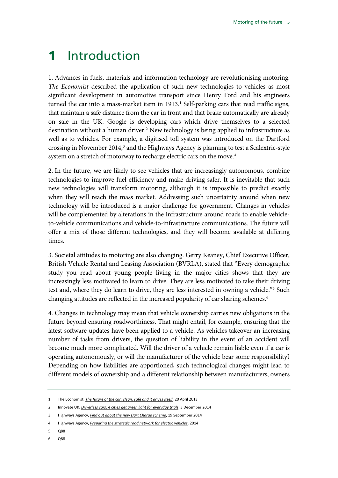# <span id="page-6-0"></span>1 Introduction

1. Advances in fuels, materials and information technology are revolutionising motoring. *The Economist* described the application of such new technologies to vehicles as most significant development in automotive transport since Henry Ford and his engineers turned the car into a mass-market item in  $1913<sup>1</sup>$  Self-parking cars that read traffic signs, that maintain a safe distance from the car in front and that brake automatically are already on sale in the UK. Google is developing cars which drive themselves to a selected destination without a human driver.<sup>[2](#page-6-2)</sup> New technology is being applied to infrastructure as well as to vehicles. For example, a digitised toll system was introduced on the Dartford crossing in November 2014,<sup>[3](#page-6-3)</sup> and the Highways Agency is planning to test a Scalextric-style system on a stretch of motorway to recharge electric cars on the move.<sup>[4](#page-6-4)</sup>

2. In the future, we are likely to see vehicles that are increasingly autonomous, combine technologies to improve fuel efficiency and make driving safer. It is inevitable that such new technologies will transform motoring, although it is impossible to predict exactly when they will reach the mass market. Addressing such uncertainty around when new technology will be introduced is a major challenge for government. Changes in vehicles will be complemented by alterations in the infrastructure around roads to enable vehicleto-vehicle communications and vehicle-to-infrastructure communications. The future will offer a mix of those different technologies, and they will become available at differing times.

3. Societal attitudes to motoring are also changing. Gerry Keaney, Chief Executive Officer, British Vehicle Rental and Leasing Association (BVRLA), stated that "Every demographic study you read about young people living in the major cities shows that they are increasingly less motivated to learn to drive. They are less motivated to take their driving test and, where they do learn to drive, they are less interested in owning a vehicle."<sup>[5](#page-6-5)</sup> Such changing attitudes are reflected in the increased popularity of car sharing schemes.<sup>6</sup>

4. Changes in technology may mean that vehicle ownership carries new obligations in the future beyond ensuring roadworthiness. That might entail, for example, ensuring that the latest software updates have been applied to a vehicle. As vehicles takeover an increasing number of tasks from drivers, the question of liability in the event of an accident will become much more complicated. Will the driver of a vehicle remain liable even if a car is operating autonomously, or will the manufacturer of the vehicle bear some responsibility? Depending on how liabilities are apportioned, such technological changes might lead to different models of ownership and a different relationship between manufacturers, owners

- <span id="page-6-5"></span>5 Q88
- <span id="page-6-6"></span>6 Q88

<span id="page-6-1"></span><sup>1</sup> The Economist, *[The future of the car: clean, safe and it drives itself](http://www.economist.com/news/leaders/21576384-cars-have-already-changed-way-we-live-they-are-likely-do-so-again-clean-safe-and-it)*, 20 April 2013

<span id="page-6-2"></span><sup>2</sup> Innovate UK, *[Driverless cars: 4 cities get green light for everyday trials](https://www.gov.uk/government/news/driverless-cars-4-cities-get-green-light-for-everyday-trials)*, 3 December 2014

<span id="page-6-3"></span><sup>3</sup> Highways Agency, *[Find out about the new Dart Charge scheme](https://www.gov.uk/government/collections/dart-charge)*, 19 September 2014

<span id="page-6-4"></span><sup>4</sup> Highways Agency, *[Preparing the strategic road network for electric vehicles](http://assets.highways.gov.uk/specialist-information/knowledge-compendium/2011-13-knowledge-programme/Preparing%20the%20Strategic%20Road%20Network%20for%20electric%20vehicles.pdf)*, 2014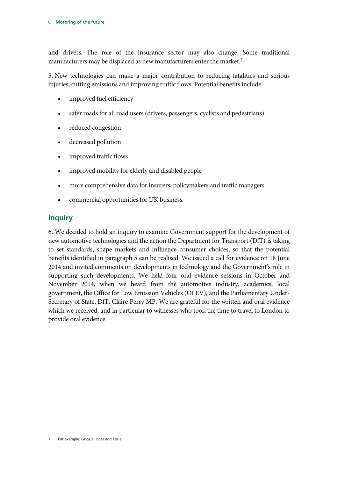and drivers. The role of the insurance sector may also change. Some traditional manufacturers may be displaced as new manufacturers enter the market.<sup>[7](#page-7-1)</sup>

5. New technologies can make a major contribution to reducing fatalities and serious injuries, cutting emissions and improving traffic flows. Potential benefits include:

- improved fuel efficiency
- safer roads for all road users (drivers, passengers, cyclists and pedestrians)
- reduced congestion
- decreased pollution
- improved traffic flows
- improved mobility for elderly and disabled people
- more comprehensive data for insurers, policymakers and traffic managers
- commercial opportunities for UK business.

# <span id="page-7-0"></span>**Inquiry**

<span id="page-7-1"></span>6. We decided to hold an inquiry to examine Government support for the development of new automotive technologies and the action the Department for Transport (DfT) is taking to set standards, shape markets and influence consumer choices, so that the potential benefits identified in paragraph 5 can be realised. We issued a call for evidence on 18 June 2014 and invited comments on developments in technology and the Government's role in supporting such developments. We held four oral evidence sessions in October and November 2014, when we heard from the automotive industry, academics, local government, the Office for Low Emission Vehicles (OLEV), and the Parliamentary Under-Secretary of State, DfT, Claire Perry MP. We are grateful for the written and oral evidence which we received, and in particular to witnesses who took the time to travel to London to provide oral evidence.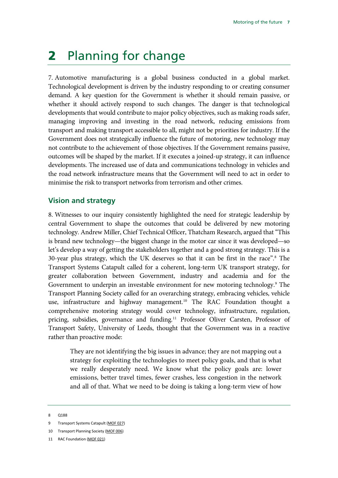# <span id="page-8-0"></span>2 Planning for change

7. Automotive manufacturing is a global business conducted in a global market. Technological development is driven by the industry responding to or creating consumer demand. A key question for the Government is whether it should remain passive, or whether it should actively respond to such changes. The danger is that technological developments that would contribute to major policy objectives, such as making roads safer, managing improving and investing in the road network, reducing emissions from transport and making transport accessible to all, might not be priorities for industry. If the Government does not strategically influence the future of motoring, new technology may not contribute to the achievement of those objectives. If the Government remains passive, outcomes will be shaped by the market. If it executes a joined-up strategy, it can influence developments. The increased use of data and communications technology in vehicles and the road network infrastructure means that the Government will need to act in order to minimise the risk to transport networks from terrorism and other crimes.

#### <span id="page-8-1"></span>**Vision and strategy**

8. Witnesses to our inquiry consistently highlighted the need for strategic leadership by central Government to shape the outcomes that could be delivered by new motoring technology. Andrew Miller, Chief Technical Officer, Thatcham Research, argued that "This is brand new technology—the biggest change in the motor car since it was developed—so let's develop a way of getting the stakeholders together and a good strong strategy. This is a 30-year plus strategy, which the UK deserves so that it can be first in the race".[8](#page-8-2) The Transport Systems Catapult called for a coherent, long-term UK transport strategy, for greater collaboration between Government, industry and academia and for the Government to underpin an investable environment for new motoring technology.<sup>[9](#page-8-3)</sup> The Transport Planning Society called for an overarching strategy, embracing vehicles, vehicle use, infrastructure and highway management.<sup>[10](#page-8-4)</sup> The RAC Foundation thought a comprehensive motoring strategy would cover technology, infrastructure, regulation, pricing, subsidies, governance and funding.<sup>11</sup> Professor Oliver Carsten, Professor of Transport Safety, University of Leeds, thought that the Government was in a reactive rather than proactive mode:

They are not identifying the big issues in advance; they are not mapping out a strategy for exploiting the technologies to meet policy goals, and that is what we really desperately need. We know what the policy goals are: lower emissions, better travel times, fewer crashes, less congestion in the network and all of that. What we need to be doing is taking a long-term view of how

<span id="page-8-2"></span><sup>8</sup> Q188

<span id="page-8-3"></span><sup>9</sup> Transport Systems Catapult [\(MOF 027\)](http://data.parliament.uk/writtenevidence/committeeevidence.svc/evidencedocument/transport-committee/motoring-of-the-future/written/12610.html)

<span id="page-8-4"></span><sup>10</sup> Transport Planning Society [\(MOF 006\)](http://data.parliament.uk/writtenevidence/committeeevidence.svc/evidencedocument/transport-committee/motoring-of-the-future/written/12401.html)

<span id="page-8-5"></span><sup>11</sup> RAC Foundation [\(MOF 021\)](http://data.parliament.uk/writtenevidence/committeeevidence.svc/evidencedocument/transport-committee/motoring-of-the-future/written/12556.html)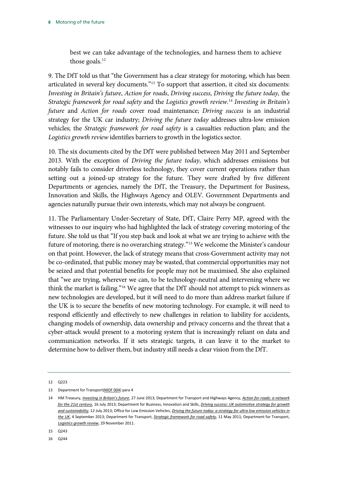best we can take advantage of the technologies, and harness them to achieve those goals.<sup>[12](#page-9-0)</sup>

9. The DfT told us that "the Government has a clear strategy for motoring, which has been articulated in several key documents.["13](#page-9-1) To support that assertion, it cited six documents: *Investing in Britain's future*, *Action for roads*, *Driving success*, *Driving the future today,* the *Strategic framework for road safety* and the *Logistics growth review*. [14](#page-9-2) *Investing in Britain's future* and *Action for roads* cover road maintenance; *Driving success* is an industrial strategy for the UK car industry; *Driving the future today* addresses ultra-low emission vehicles; the *Strategic framework for road safety* is a casualties reduction plan; and the *Logistics growth review* identifies barriers to growth in the logistics sector.

10. The six documents cited by the DfT were published between May 2011 and September 2013. With the exception of *Driving the future today*, which addresses emissions but notably fails to consider driverless technology, they cover current operations rather than setting out a joined-up strategy for the future. They were drafted by five different Departments or agencies, namely the DfT, the Treasury, the Department for Business, Innovation and Skills, the Highways Agency and OLEV. Government Departments and agencies naturally pursue their own interests, which may not always be congruent.

11. The Parliamentary Under-Secretary of State, DfT, Claire Perry MP, agreed with the witnesses to our inquiry who had highlighted the lack of strategy covering motoring of the future. She told us that "If you step back and look at what we are trying to achieve with the future of motoring, there is no overarching strategy."[15](#page-9-3) We welcome the Minister's candour on that point. However, the lack of strategy means that cross-Government activity may not be co-ordinated, that public money may be wasted, that commercial opportunities may not be seized and that potential benefits for people may not be maximised. She also explained that "we are trying, wherever we can, to be technology-neutral and intervening where we think the market is failing.["16](#page-9-4) We agree that the DfT should not attempt to pick winners as new technologies are developed, but it will need to do more than address market failure if the UK is to secure the benefits of new motoring technology. For example, it will need to respond efficiently and effectively to new challenges in relation to liability for accidents, changing models of ownership, data ownership and privacy concerns and the threat that a cyber-attack would present to a motoring system that is increasingly reliant on data and communication networks. If it sets strategic targets, it can leave it to the market to determine how to deliver them, but industry still needs a clear vision from the DfT.

<span id="page-9-4"></span>16 Q244

<span id="page-9-0"></span><sup>12</sup> Q223

<span id="page-9-1"></span><sup>13</sup> Department for Transpor[t\(MOF 004\)](http://data.parliament.uk/writtenevidence/committeeevidence.svc/evidencedocument/transport-committee/motoring-of-the-future/written/12385.html) para 4

<span id="page-9-2"></span><sup>14</sup> HM Treasury, *[Investing in Britain's future](https://www.gov.uk/government/publications/investing-in-britains-future)*, 27 June 2013; Department for Transport and Highways Agency, *[Action for roads: a network](https://www.gov.uk/government/publications/action-for-roads-a-network-for-the-21st-century)  [for the 21st century](https://www.gov.uk/government/publications/action-for-roads-a-network-for-the-21st-century)*, 16 July 2013; Department for Business, Innovation and Skills, *[Driving success: UK automotive strategy for growth](https://www.gov.uk/government/publications/driving-success-uk-automotive-strategy-for-growth-and-sustainability)  [and sustainability,](https://www.gov.uk/government/publications/driving-success-uk-automotive-strategy-for-growth-and-sustainability)* 12 July 2013; Office for Low Emission Vehicles, *[Driving the future today: a strategy for ultra low emission vehicles in](https://www.gov.uk/government/publications/driving-the-future-today-a-strategy-for-ultra-low-emission-vehicles-in-the-uk)  [the UK](https://www.gov.uk/government/publications/driving-the-future-today-a-strategy-for-ultra-low-emission-vehicles-in-the-uk)*, 4 September 2013; Department for Transport, *[Strategic framework for road safety](https://www.gov.uk/government/publications/strategic-framework-for-road-safety)*, 11 May 2011; Department for Transport, *[Logistics growth review](https://www.gov.uk/government/publications/logistics-growth-review)*, 29 November 2011.

<span id="page-9-3"></span><sup>15</sup> Q243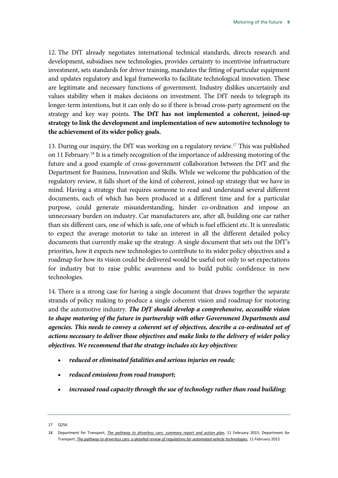12. The DfT already negotiates international technical standards, directs research and development, subsidises new technologies, provides certainty to incentivise infrastructure investment, sets standards for driver training, mandates the fitting of particular equipment and updates regulatory and legal frameworks to facilitate technological innovation. These are legitimate and necessary functions of government. Industry dislikes uncertainly and values stability when it makes decisions on investment. The DfT needs to telegraph its longer-term intentions, but it can only do so if there is broad cross-party agreement on the strategy and key way points. **The DfT has not implemented a coherent, joined-up strategy to link the development and implementation of new automotive technology to the achievement of its wider policy goals.**

<span id="page-10-2"></span>13. During our inquiry, the DfT was working on a regulatory review[.17](#page-10-0) This was published on 11 February[.18](#page-10-1) It is a timely recognition of the importance of addressing motoring of the future and a good example of cross-government collaboration between the DfT and the Department for Business, Innovation and Skills. While we welcome the publication of the regulatory review, it falls short of the kind of coherent, joined-up strategy that we have in mind. Having a strategy that requires someone to read and understand several different documents, each of which has been produced at a different time and for a particular purpose, could generate misunderstanding, hinder co-ordination and impose an unnecessary burden on industry. Car manufacturers are, after all, building one car rather than six different cars, one of which is safe, one of which is fuel efficient etc. It is unrealistic to expect the average motorist to take an interest in all the different detailed policy documents that currently make up the strategy. A single document that sets out the DfT's priorities, how it expects new technologies to contribute to its wider policy objectives and a roadmap for how its vision could be delivered would be useful not only to set expectations for industry but to raise public awareness and to build public confidence in new technologies.

<span id="page-10-3"></span>14. There is a strong case for having a single document that draws together the separate strands of policy making to produce a single coherent vision and roadmap for motoring and the automotive industry. *The DfT should develop a comprehensive, accessible vision to shape motoring of the future in partnership with other Government Departments and agencies. This needs to convey a coherent set of objectives, describe a co-ordinated set of actions necessary to deliver those objectives and make links to the delivery of wider policy objectives. We recommend that the strategy includes six key objectives:*

- <span id="page-10-4"></span>• *reduced or eliminated fatalities and serious injuries on roads;*
- <span id="page-10-5"></span>• *reduced emissions from road transport;*
- <span id="page-10-6"></span>• *increased road capacity through the use of technology rather than road building;*

<span id="page-10-0"></span><sup>17</sup> Q256

<span id="page-10-1"></span><sup>18</sup> Department for Transport, *[The pathway to driverless cars: summary report and action plan](https://www.gov.uk/government/uploads/system/uploads/attachment_data/file/401562/pathway-driverless-cars-summary.pdf)*, 11 February 2015; Department for Transport, *[The pathway to driverless cars: a detailed review of regulations for automated vehicle technologies](https://www.gov.uk/government/uploads/system/uploads/attachment_data/file/401565/pathway-driverless-cars-main.pdf)*, 11 February 2015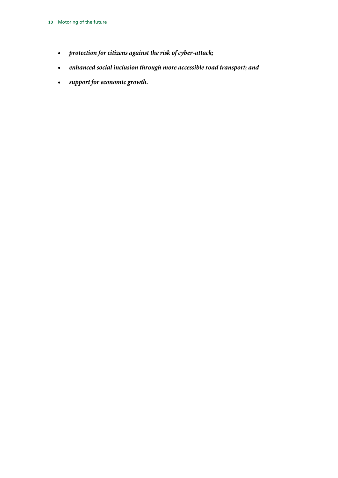- <span id="page-11-0"></span>• *protection for citizens against the risk of cyber-attack;*
- <span id="page-11-1"></span>• *enhanced social inclusion through more accessible road transport; and*
- <span id="page-11-2"></span>• *support for economic growth.*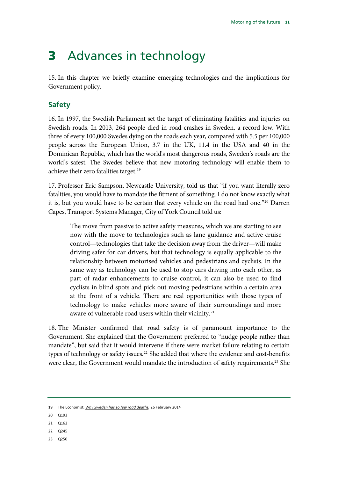# <span id="page-12-0"></span>3 Advances in technology

15. In this chapter we briefly examine emerging technologies and the implications for Government policy.

# <span id="page-12-1"></span>**Safety**

16. In 1997, the Swedish Parliament set the target of eliminating fatalities and injuries on Swedish roads. In 2013, 264 people died in road crashes in Sweden, a record low. With three of every 100,000 Swedes dying on the roads each year, compared with 5.5 per 100,000 people across the European Union, 3.7 in the UK, 11.4 in the USA and 40 in the Dominican Republic, which has the world's most dangerous roads, Sweden's roads are the world's safest. The Swedes believe that new motoring technology will enable them to achieve their zero fatalities target.<sup>[19](#page-12-2)</sup>

17. Professor Eric Sampson, Newcastle University, told us that "if you want literally zero fatalities, you would have to mandate the fitment of something. I do not know exactly what it is, but you would have to be certain that every vehicle on the road had one."[20](#page-12-3) Darren Capes, Transport Systems Manager, City of York Council told us:

The move from passive to active safety measures, which we are starting to see now with the move to technologies such as lane guidance and active cruise control—technologies that take the decision away from the driver—will make driving safer for car drivers, but that technology is equally applicable to the relationship between motorised vehicles and pedestrians and cyclists. In the same way as technology can be used to stop cars driving into each other, as part of radar enhancements to cruise control, it can also be used to find cyclists in blind spots and pick out moving pedestrians within a certain area at the front of a vehicle. There are real opportunities with those types of technology to make vehicles more aware of their surroundings and more aware of vulnerable road users within their vicinity.<sup>[21](#page-12-4)</sup>

18. The Minister confirmed that road safety is of paramount importance to the Government. She explained that the Government preferred to "nudge people rather than mandate", but said that it would intervene if there were market failure relating to certain types of technology or safety issues.<sup>[22](#page-12-5)</sup> She added that where the evidence and cost-benefits were clear, the Government would mandate the introduction of safety requirements.<sup>[23](#page-12-6)</sup> She

- <span id="page-12-4"></span>21 Q162
- <span id="page-12-5"></span>22 Q245
- <span id="page-12-6"></span>23 Q250

<span id="page-12-2"></span><sup>19</sup> The Economist, *[Why Sweden has so few road deaths,](http://www.economist.com/blogs/economist-explains/2014/02/economist-explains-16)* 26 February 2014

<span id="page-12-3"></span><sup>20</sup> Q193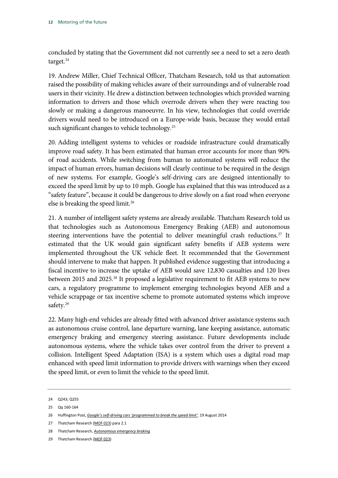concluded by stating that the Government did not currently see a need to set a zero death target. $^{24}$  $^{24}$  $^{24}$ 

19. Andrew Miller, Chief Technical Officer, Thatcham Research, told us that automation raised the possibility of making vehicles aware of their surroundings and of vulnerable road users in their vicinity. He drew a distinction between technologies which provided warning information to drivers and those which overrode drivers when they were reacting too slowly or making a dangerous manoeuvre. In his view, technologies that could override drivers would need to be introduced on a Europe-wide basis, because they would entail such significant changes to vehicle technology.<sup>[25](#page-13-1)</sup>

20. Adding intelligent systems to vehicles or roadside infrastructure could dramatically improve road safety. It has been estimated that human error accounts for more than 90% of road accidents. While switching from human to automated systems will reduce the impact of human errors, human decisions will clearly continue to be required in the design of new systems. For example, Google's self-driving cars are designed intentionally to exceed the speed limit by up to 10 mph. Google has explained that this was introduced as a "safety feature", because it could be dangerous to drive slowly on a fast road when everyone else is breaking the speed limit.<sup>[26](#page-13-2)</sup>

21. A number of intelligent safety systems are already available. Thatcham Research told us that technologies such as Autonomous Emergency Braking (AEB) and autonomous steering interventions have the potential to deliver meaningful crash reductions.<sup>[27](#page-13-3)</sup> It estimated that the UK would gain significant safety benefits if AEB systems were implemented throughout the UK vehicle fleet. It recommended that the Government should intervene to make that happen. It published evidence suggesting that introducing a fiscal incentive to increase the uptake of AEB would save 12,830 casualties and 120 lives between 2015 and 2025.<sup>[28](#page-13-4)</sup> It proposed a legislative requirement to fit AEB systems to new cars, a regulatory programme to implement emerging technologies beyond AEB and a vehicle scrappage or tax incentive scheme to promote automated systems which improve safety.<sup>[29](#page-13-5)</sup>

22. Many high-end vehicles are already fitted with advanced driver assistance systems such as autonomous cruise control, lane departure warning, lane keeping assistance, automatic emergency braking and emergency steering assistance. Future developments include autonomous systems, where the vehicle takes over control from the driver to prevent a collision. Intelligent Speed Adaptation (ISA) is a system which uses a digital road map enhanced with speed limit information to provide drivers with warnings when they exceed the speed limit, or even to limit the vehicle to the speed limit.

<span id="page-13-0"></span><sup>24</sup> Q243; Q255

<span id="page-13-1"></span><sup>25</sup> Qq 160-164

<span id="page-13-2"></span><sup>26</sup> Huffington Post, *[Google's self-driving cars 'programmed](http://www.huffingtonpost.co.uk/2014/08/19/google-self-driving-cars-limit_n_5691179.html) to break the speed limit'*, 19 August 2014

<span id="page-13-3"></span><sup>27</sup> Thatcham Research [\(MOF 023\)](http://data.parliament.uk/writtenevidence/committeeevidence.svc/evidencedocument/transport-committee/motoring-of-the-future/written/12580.html) para 2.1

<span id="page-13-4"></span><sup>28</sup> Thatcham Research, *[Autonomous emergency braking](http://www.huffingtonpost.co.uk/2014/08/19/google-self-driving-cars-limit_n_5691179.html)*

<span id="page-13-5"></span><sup>29</sup> Thatcham Research [\(MOF 023\)](http://data.parliament.uk/writtenevidence/committeeevidence.svc/evidencedocument/transport-committee/motoring-of-the-future/written/12580.html)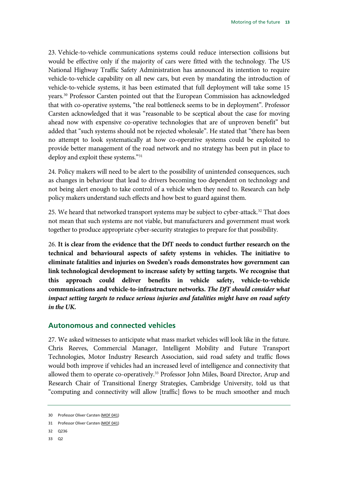23. Vehicle-to-vehicle communications systems could reduce intersection collisions but would be effective only if the majority of cars were fitted with the technology. The US National Highway Traffic Safety Administration has announced its intention to require vehicle-to-vehicle capability on all new cars, but even by mandating the introduction of vehicle-to-vehicle systems, it has been estimated that full deployment will take some 15 years.[30](#page-14-1) Professor Carsten pointed out that the European Commission has acknowledged that with co-operative systems, "the real bottleneck seems to be in deployment". Professor Carsten acknowledged that it was "reasonable to be sceptical about the case for moving ahead now with expensive co-operative technologies that are of unproven benefit" but added that "such systems should not be rejected wholesale". He stated that "there has been no attempt to look systematically at how co-operative systems could be exploited to provide better management of the road network and no strategy has been put in place to deploy and exploit these systems."<sup>[31](#page-14-2)</sup>

24. Policy makers will need to be alert to the possibility of unintended consequences, such as changes in behaviour that lead to drivers becoming too dependent on technology and not being alert enough to take control of a vehicle when they need to. Research can help policy makers understand such effects and how best to guard against them.

25. We heard that networked transport systems may be subject to cyber-attack.<sup>[32](#page-14-3)</sup> That does not mean that such systems are not viable, but manufacturers and government must work together to produce appropriate cyber-security strategies to prepare for that possibility.

<span id="page-14-6"></span><span id="page-14-5"></span>26. **It is clear from the evidence that the DfT needs to conduct further research on the technical and behavioural aspects of safety systems in vehicles. The initiative to eliminate fatalities and injuries on Sweden's roads demonstrates how government can link technological development to increase safety by setting targets. We recognise that this approach could deliver benefits in vehicle safety, vehicle-to-vehicle communications and vehicle-to-infrastructure networks.** *The DfT should consider what impact setting targets to reduce serious injuries and fatalities might have on road safety in the UK.*

### <span id="page-14-7"></span><span id="page-14-0"></span>**Autonomous and connected vehicles**

27. We asked witnesses to anticipate what mass market vehicles will look like in the future. Chris Reeves, Commercial Manager, Intelligent Mobility and Future Transport Technologies, Motor Industry Research Association, said road safety and traffic flows would both improve if vehicles had an increased level of intelligence and connectivity that allowed them to operate co-operatively.<sup>[33](#page-14-4)</sup> Professor John Miles, Board Director, Arup and Research Chair of Transitional Energy Strategies, Cambridge University, told us that "computing and connectivity will allow [traffic] flows to be much smoother and much

- <span id="page-14-3"></span>32 Q236
- <span id="page-14-4"></span>33 Q2

<span id="page-14-1"></span><sup>30</sup> Professor Oliver Carsten [\(MOF 041\)](http://data.parliament.uk/writtenevidence/committeeevidence.svc/evidencedocument/transport-committee/motoring-of-the-future/written/15015.html)

<span id="page-14-2"></span><sup>31</sup> Professor Oliver Carsten [\(MOF 041\)](http://data.parliament.uk/writtenevidence/committeeevidence.svc/evidencedocument/transport-committee/motoring-of-the-future/written/15015.html)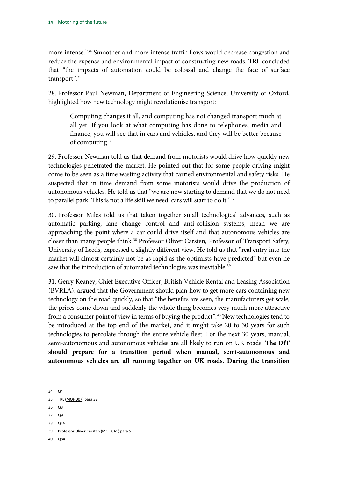more intense."[34](#page-15-0) Smoother and more intense traffic flows would decrease congestion and reduce the expense and environmental impact of constructing new roads. TRL concluded that "the impacts of automation could be colossal and change the face of surface transport".<sup>35</sup>

28. Professor Paul Newman, Department of Engineering Science, University of Oxford, highlighted how new technology might revolutionise transport:

Computing changes it all, and computing has not changed transport much at all yet. If you look at what computing has done to telephones, media and finance, you will see that in cars and vehicles, and they will be better because of computing.[36](#page-15-2)

29. Professor Newman told us that demand from motorists would drive how quickly new technologies penetrated the market. He pointed out that for some people driving might come to be seen as a time wasting activity that carried environmental and safety risks. He suspected that in time demand from some motorists would drive the production of autonomous vehicles. He told us that "we are now starting to demand that we do not need to parallel park. This is not a life skill we need; cars will start to do it."[37](#page-15-3)

30. Professor Miles told us that taken together small technological advances, such as automatic parking, lane change control and anti-collision systems, mean we are approaching the point where a car could drive itself and that autonomous vehicles are closer than many people think.<sup>[38](#page-15-4)</sup> Professor Oliver Carsten, Professor of Transport Safety, University of Leeds, expressed a slightly different view. He told us that "real entry into the market will almost certainly not be as rapid as the optimists have predicted" but even he saw that the introduction of automated technologies was inevitable.<sup>[39](#page-15-5)</sup>

31. Gerry Keaney, Chief Executive Officer, British Vehicle Rental and Leasing Association (BVRLA), argued that the Government should plan how to get more cars containing new technology on the road quickly, so that "the benefits are seen, the manufacturers get scale, the prices come down and suddenly the whole thing becomes very much more attractive from a consumer point of view in terms of buying the product".<sup>40</sup> New technologies tend to be introduced at the top end of the market, and it might take 20 to 30 years for such technologies to percolate through the entire vehicle fleet. For the next 30 years, manual, semi-autonomous and autonomous vehicles are all likely to run on UK roads. **The DfT should prepare for a transition period when manual, semi-autonomous and autonomous vehicles are all running together on UK roads. During the transition** 

- 36 Q3
- <span id="page-15-3"></span>37 Q9
- <span id="page-15-4"></span>38 016
- <span id="page-15-5"></span>39 Professor Oliver Carsten [\(MOF 041\)](http://data.parliament.uk/writtenevidence/committeeevidence.svc/evidencedocument/transport-committee/motoring-of-the-future/written/15015.html) para 5
- <span id="page-15-6"></span>40 Q84

<span id="page-15-7"></span><span id="page-15-0"></span><sup>34</sup> Q4

<span id="page-15-2"></span><span id="page-15-1"></span><sup>35</sup> TRL [\(MOF 007\)](http://data.parliament.uk/writtenevidence/committeeevidence.svc/evidencedocument/transport-committee/motoring-of-the-future/written/12438.html) para 32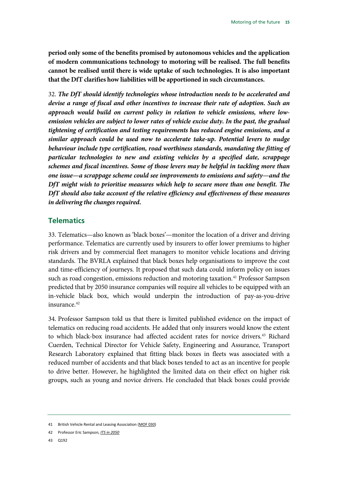<span id="page-16-4"></span>**period only some of the benefits promised by autonomous vehicles and the application of modern communications technology to motoring will be realised. The full benefits cannot be realised until there is wide uptake of such technologies. It is also important that the DfT clarifies how liabilities will be apportioned in such circumstances.**

<span id="page-16-5"></span>32. *The DfT should identify technologies whose introduction needs to be accelerated and devise a range of fiscal and other incentives to increase their rate of adoption. Such an approach would build on current policy in relation to vehicle emissions, where lowemission vehicles are subject to lower rates of vehicle excise duty. In the past, the gradual tightening of certification and testing requirements has reduced engine emissions, and a similar approach could be used now to accelerate take-up. Potential levers to nudge*  behaviour include type certification, road worthiness standards, mandating the fitting of *particular technologies to new and existing vehicles by a specified date, scrappage schemes and fiscal incentives. Some of those levers may be helpful in tackling more than one issue—a scrappage scheme could see improvements to emissions and safety—and the DfT might wish to prioritise measures which help to secure more than one benefit. The DfT should also take account of the relative efficiency and effectiveness of these measures in delivering the changes required.*

#### <span id="page-16-0"></span>**Telematics**

33. Telematics—also known as 'black boxes'—monitor the location of a driver and driving performance. Telematics are currently used by insurers to offer lower premiums to higher risk drivers and by commercial fleet managers to monitor vehicle locations and driving standards. The BVRLA explained that black boxes help organisations to improve the cost and time-efficiency of journeys. It proposed that such data could inform policy on issues such as road congestion, emissions reduction and motoring taxation.<sup>[41](#page-16-1)</sup> Professor Sampson predicted that by 2050 insurance companies will require all vehicles to be equipped with an in-vehicle black box, which would underpin the introduction of pay-as-you-drive insurance.<sup>[42](#page-16-2)</sup>

34. Professor Sampson told us that there is limited published evidence on the impact of telematics on reducing road accidents. He added that only insurers would know the extent to which black-box insurance had affected accident rates for novice drivers.<sup>43</sup> Richard Cuerden, Technical Director for Vehicle Safety, Engineering and Assurance, Transport Research Laboratory explained that fitting black boxes in fleets was associated with a reduced number of accidents and that black boxes tended to act as an incentive for people to drive better. However, he highlighted the limited data on their effect on higher risk groups, such as young and novice drivers. He concluded that black boxes could provide

<span id="page-16-1"></span><sup>41</sup> British Vehicle Rental and Leasing Association [\(MOF 030\)](http://data.parliament.uk/writtenevidence/committeeevidence.svc/evidencedocument/transport-committee/motoring-of-the-future/written/12694.html)

<span id="page-16-3"></span><span id="page-16-2"></span><sup>42</sup> Professor Eric Sampson, *[ITS in 2050](http://www.trl.co.uk/media/192759/trlanniversaryaw_rev2.pdf)*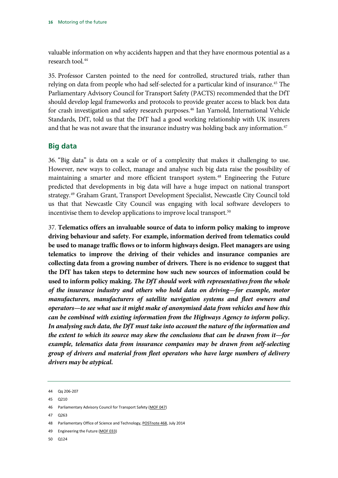valuable information on why accidents happen and that they have enormous potential as a research tool.<sup>[44](#page-17-1)</sup>

35. Professor Carsten pointed to the need for controlled, structured trials, rather than relying on data from people who had self-selected for a particular kind of insurance.<sup>[45](#page-17-2)</sup> The Parliamentary Advisory Council for Transport Safety (PACTS) recommended that the DfT should develop legal frameworks and protocols to provide greater access to black box data for crash investigation and safety research purposes.<sup>[46](#page-17-3)</sup> Ian Yarnold, International Vehicle Standards, DfT, told us that the DfT had a good working relationship with UK insurers and that he was not aware that the insurance industry was holding back any information.<sup>[47](#page-17-4)</sup>

### <span id="page-17-0"></span>**Big data**

36. "Big data" is data on a scale or of a complexity that makes it challenging to use. However, new ways to collect, manage and analyse such big data raise the possibility of maintaining a smarter and more efficient transport system.[48](#page-17-5) Engineering the Future predicted that developments in big data will have a huge impact on national transport strategy.[49](#page-17-6) Graham Grant, Transport Development Specialist, Newcastle City Council told us that that Newcastle City Council was engaging with local software developers to incentivise them to develop applications to improve local transport.<sup>[50](#page-17-7)</sup>

<span id="page-17-9"></span><span id="page-17-8"></span>37. **Telematics offers an invaluable source of data to inform policy making to improve driving behaviour and safety. For example, information derived from telematics could be used to manage traffic flows or to inform highways design. Fleet managers are using telematics to improve the driving of their vehicles and insurance companies are collecting data from a growing number of drivers. There is no evidence to suggest that the DfT has taken steps to determine how such new sources of information could be used to inform policy making.** *The DfT should work with representatives from the whole of the insurance industry and others who hold data on driving—for example, motor manufacturers, manufacturers of satellite navigation systems and fleet owners and operators—to see what use it might make of anonymised data from vehicles and how this can be combined with existing information from the Highways Agency to inform policy. In analysing such data, the DfT must take into account the nature of the information and the extent to which its source may skew the conclusions that can be drawn from it—for example, telematics data from insurance companies may be drawn from self-selecting group of drivers and material from fleet operators who have large numbers of delivery drivers may be atypical.*

<span id="page-17-2"></span>45 Q210

<span id="page-17-4"></span>47 Q263

- <span id="page-17-6"></span>49 Engineering the Future [\(MOF 033\)](http://data.parliament.uk/writtenevidence/committeeevidence.svc/evidencedocument/transport-committee/motoring-of-the-future/written/12841.html)
- <span id="page-17-7"></span>50 Q124

<span id="page-17-1"></span><sup>44</sup> Qq 206-207

<span id="page-17-3"></span><sup>46</sup> Parliamentary Advisory Council for Transport Safety [\(MOF 047\)](http://data.parliament.uk/writtenevidence/committeeevidence.svc/evidencedocument/transport-committee/motoring-of-the-future/written/16651.html)

<span id="page-17-5"></span><sup>48</sup> Parliamentary Office of Science and Technology[, POSTnote 468,](http://www.parliament.uk/business/publications/research/briefing-papers/POST-PN-468/big-data-overview) July 2014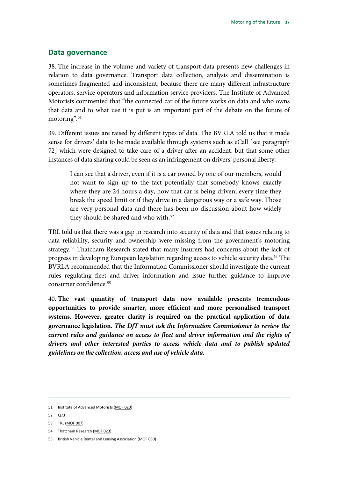#### <span id="page-18-0"></span>**Data governance**

38. The increase in the volume and variety of transport data presents new challenges in relation to data governance. Transport data collection, analysis and dissemination is sometimes fragmented and inconsistent, because there are many different infrastructure operators, service operators and information service providers. The Institute of Advanced Motorists commented that "the connected car of the future works on data and who owns that data and to what use it is put is an important part of the debate on the future of motoring".<sup>[51](#page-18-1)</sup>

39. Different issues are raised by different types of data. The BVRLA told us that it made sense for drivers' data to be made available through systems such as eCall [see paragraph 72] which were designed to take care of a driver after an accident, but that some other instances of data sharing could be seen as an infringement on drivers' personal liberty:

I can see that a driver, even if it is a car owned by one of our members, would not want to sign up to the fact potentially that somebody knows exactly where they are 24 hours a day, how that car is being driven, every time they break the speed limit or if they drive in a dangerous way or a safe way. Those are very personal data and there has been no discussion about how widely they should be shared and who with.<sup>[52](#page-18-2)</sup>

TRL told us that there was a gap in research into security of data and that issues relating to data reliability, security and ownership were missing from the government's motoring strategy.<sup>[53](#page-18-3)</sup> Thatcham Research stated that many insurers had concerns about the lack of progress in developing European legislation regarding access to vehicle security data[.54](#page-18-4) The BVRLA recommended that the Information Commissioner should investigate the current rules regulating fleet and driver information and issue further guidance to improve consumer confidence.<sup>[55](#page-18-5)</sup>

<span id="page-18-7"></span><span id="page-18-6"></span>40. **The vast quantity of transport data now available presents tremendous opportunities to provide smarter, more efficient and more personalised transport systems. However, greater clarity is required on the practical application of data governance legislation.** *The DfT must ask the Information Commissioner to review the current rules and guidance on access to fleet and driver information and the rights of drivers and other interested parties to access vehicle data and to publish updated guidelines on the collection, access and use of vehicle data.*

<span id="page-18-2"></span>52 Q73

54 Thatcham Research [\(MOF 023\)](http://data.parliament.uk/writtenevidence/committeeevidence.svc/evidencedocument/transport-committee/motoring-of-the-future/written/12580.html)

<span id="page-18-1"></span><sup>51</sup> Institute of Advanced Motorists [\(MOF 020\)](http://data.parliament.uk/writtenevidence/committeeevidence.svc/evidencedocument/transport-committee/motoring-of-the-future/written/12554.html)

<span id="page-18-4"></span><span id="page-18-3"></span><sup>53</sup> TRL [\(MOF 007\)](http://data.parliament.uk/writtenevidence/committeeevidence.svc/evidencedocument/transport-committee/motoring-of-the-future/written/12438.html)

<span id="page-18-5"></span><sup>55</sup> British Vehicle Rental and Leasing Association [\(MOF 030\)](http://data.parliament.uk/writtenevidence/committeeevidence.svc/evidencedocument/transport-committee/motoring-of-the-future/written/12694.html)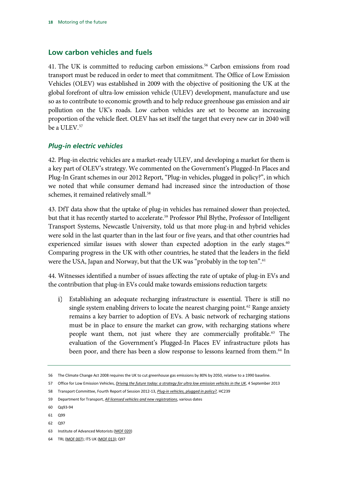### <span id="page-19-0"></span>**Low carbon vehicles and fuels**

41. The UK is committed to reducing carbon emissions.<sup>[56](#page-19-2)</sup> Carbon emissions from road transport must be reduced in order to meet that commitment. The Office of Low Emission Vehicles (OLEV) was established in 2009 with the objective of positioning the UK at the global forefront of ultra-low emission vehicle (ULEV) development, manufacture and use so as to contribute to economic growth and to help reduce greenhouse gas emission and air pollution on the UK's roads. Low carbon vehicles are set to become an increasing proportion of the vehicle fleet. OLEV has set itself the target that every new car in 2040 will be a ULEV.<sup>[57](#page-19-3)</sup>

### <span id="page-19-1"></span>*Plug-in electric vehicles*

42. Plug-in electric vehicles are a market-ready ULEV, and developing a market for them is a key part of OLEV's strategy. We commented on the Government's Plugged-In Places and Plug-In Grant schemes in our 2012 Report, "Plug-in vehicles, plugged in policy?", in which we noted that while consumer demand had increased since the introduction of those schemes, it remained relatively small.<sup>[58](#page-19-4)</sup>

43. DfT data show that the uptake of plug-in vehicles has remained slower than projected, but that it has recently started to accelerate.<sup>59</sup> Professor Phil Blythe, Professor of Intelligent Transport Systems, Newcastle University, told us that more plug-in and hybrid vehicles were sold in the last quarter than in the last four or five years, and that other countries had experienced similar issues with slower than expected adoption in the early stages.<sup>[60](#page-19-6)</sup> Comparing progress in the UK with other countries, he stated that the leaders in the field were the USA, Japan and Norway, but that the UK was "probably in the top ten".<sup>[61](#page-19-7)</sup>

44. Witnesses identified a number of issues affecting the rate of uptake of plug-in EVs and the contribution that plug-in EVs could make towards emissions reduction targets:

Establishing an adequate recharging infrastructure is essential. There is still no  $i)$ single system enabling drivers to locate the nearest charging point.<sup>62</sup> Range anxiety remains a key barrier to adoption of EVs. A basic network of recharging stations must be in place to ensure the market can grow, with recharging stations where people want them, not just where they are commercially profitable.<sup>[63](#page-19-9)</sup> The evaluation of the Government's Plugged-In Places EV infrastructure pilots has been poor, and there has been a slow response to lessons learned from them.<sup>[64](#page-19-10)</sup> In

<span id="page-19-8"></span>62 097

<span id="page-19-2"></span><sup>56</sup> The Climate Change Act 2008 requires the UK to cut greenhouse gas emissions by 80% by 2050, relative to a 1990 baseline.

<span id="page-19-3"></span><sup>57</sup> Office for Low Emission Vehicles, *[Driving the future today: a strategy for ultra low emission vehicles in the UK](https://www.gov.uk/government/publications/driving-the-future-today-a-strategy-for-ultra-low-emission-vehicles-in-the-uk)*, 4 September 2013

<span id="page-19-4"></span><sup>58</sup> Transport Committee, Fourth Report of Session 2012-13, *[Plug-in vehicles, plugged in policy?,](http://www.parliament.uk/documents/commons-committees/transport/Plug-in%20vehicles%20239.pdf)* HC239

<span id="page-19-5"></span><sup>59</sup> Department for Transport, *[All licensed vehicles and new registrations](https://www.gov.uk/government/statistical-data-sets/veh01-vehicles-registered-for-the-first-time%23table-veh0130)*, various dates

<span id="page-19-6"></span><sup>60</sup> Qq93-94

<span id="page-19-7"></span><sup>61</sup> Q99

<span id="page-19-9"></span><sup>63</sup> Institute of Advanced Motorists [\(MOF 020\)](http://data.parliament.uk/writtenevidence/committeeevidence.svc/evidencedocument/transport-committee/motoring-of-the-future/written/12554.html)

<span id="page-19-10"></span><sup>64</sup> TRL [\(MOF 007\)](http://data.parliament.uk/writtenevidence/committeeevidence.svc/evidencedocument/transport-committee/motoring-of-the-future/written/12438.html); ITS UK [\(MOF 013\)](http://data.parliament.uk/writtenevidence/committeeevidence.svc/evidencedocument/transport-committee/motoring-of-the-future/written/12493.html); Q97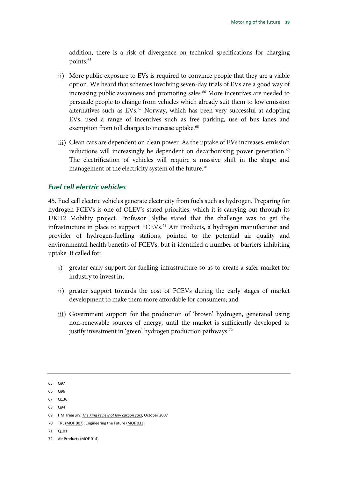addition, there is a risk of divergence on technical specifications for charging points[.65](#page-20-1)

- More public exposure to EVs is required to convince people that they are a viable option. We heard that schemes involving seven-day trials of EVs are a good way of increasing public awareness and promoting sales.<sup>66</sup> More incentives are needed to persuade people to change from vehicles which already suit them to low emission alternatives such as EVs.<sup>[67](#page-20-3)</sup> Norway, which has been very successful at adopting EVs, used a range of incentives such as free parking, use of bus lanes and exemption from toll charges to increase uptake.<sup>[68](#page-20-4)</sup>
- iii) Clean cars are dependent on clean power. As the uptake of EVs increases, emission reductions will increasingly be dependent on decarbonising power generation.<sup>[69](#page-20-5)</sup> The electrification of vehicles will require a massive shift in the shape and management of the electricity system of the future.<sup>[70](#page-20-6)</sup>

### <span id="page-20-0"></span>*Fuel cell electric vehicles*

45. Fuel cell electric vehicles generate electricity from fuels such as hydrogen. Preparing for hydrogen FCEVs is one of OLEV's stated priorities, which it is carrying out through its UKH2 Mobility project. Professor Blythe stated that the challenge was to get the infrastructure in place to support FCEVs.<sup>71</sup> Air Products, a hydrogen manufacturer and provider of hydrogen-fuelling stations, pointed to the potential air quality and environmental health benefits of FCEVs, but it identified a number of barriers inhibiting uptake. It called for:

- i) greater early support for fuelling infrastructure so as to create a safer market for industry to invest in;
- ii) greater support towards the cost of FCEVs during the early stages of market development to make them more affordable for consumers; and
- iii) Government support for the production of 'brown' hydrogen, generated using non-renewable sources of energy, until the market is sufficiently developed to justify investment in 'green' hydrogen production pathways.<sup>72</sup>

- <span id="page-20-4"></span><span id="page-20-3"></span>67 Q136
- 68 Q94

- <span id="page-20-6"></span>70 TRL [\(MOF 007\)](http://data.parliament.uk/writtenevidence/committeeevidence.svc/evidencedocument/transport-committee/motoring-of-the-future/written/12438.html); Engineering the Future [\(MOF 033\)](http://data.parliament.uk/writtenevidence/committeeevidence.svc/evidencedocument/transport-committee/motoring-of-the-future/written/12841.html)
- <span id="page-20-7"></span>71 Q101
- <span id="page-20-8"></span>72 Air Products [\(MOF 014\)](http://data.parliament.uk/writtenevidence/committeeevidence.svc/evidencedocument/transport-committee/motoring-of-the-future/written/12507.html)

<span id="page-20-1"></span><sup>65</sup> Q97

<span id="page-20-2"></span><sup>66</sup> Q96

<span id="page-20-5"></span><sup>69</sup> HM Treasury, *[The King review of low carbon cars](https://research.mbs.ac.uk/INNOVATION/Portals/0/docs/seminar/kingreview.pdf)*, October 2007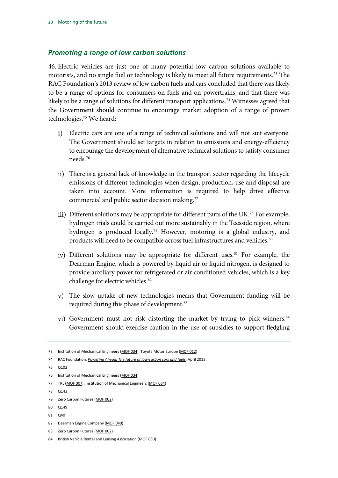#### <span id="page-21-0"></span>*Promoting a range of low carbon solutions*

46. Electric vehicles are just one of many potential low carbon solutions available to motorists, and no single fuel or technology is likely to meet all future requirements.<sup>[73](#page-21-1)</sup> The RAC Foundation's 2013 review of low carbon fuels and cars concluded that there was likely to be a range of options for consumers on fuels and on powertrains, and that there was likely to be a range of solutions for different transport applications.<sup>[74](#page-21-2)</sup> Witnesses agreed that the Government should continue to encourage market adoption of a range of proven technologies.[75](#page-21-3) We heard:

- $i)$ Electric cars are one of a range of technical solutions and will not suit everyone. The Government should set targets in relation to emissions and energy-efficiency to encourage the development of alternative technical solutions to satisfy consumer needs.[76](#page-21-4)
- There is a general lack of knowledge in the transport sector regarding the lifecycle emissions of different technologies when design, production, use and disposal are taken into account. More information is required to help drive effective commercial and public sector decision making.<sup>77</sup>
- iii) Different solutions may be appropriate for different parts of the UK.<sup>[78](#page-21-6)</sup> For example, hydrogen trials could be carried out more sustainably in the Teesside region, where hydrogen is produced locally.<sup>[79](#page-21-7)</sup> However, motoring is a global industry, and products will need to be compatible across fuel infrastructures and vehicles.<sup>[80](#page-21-8)</sup>
- iv) Different solutions may be appropriate for different uses.<sup>[81](#page-21-9)</sup> For example, the Dearman Engine, which is powered by liquid air or liquid nitrogen, is designed to provide auxiliary power for refrigerated or air conditioned vehicles, which is a key challenge for electric vehicles.<sup>[82](#page-21-10)</sup>
- The slow uptake of new technologies means that Government funding will be required during this phase of development.<sup>[83](#page-21-11)</sup>
- vi) Government must not risk distorting the market by trying to pick winners.<sup>[84](#page-21-12)</sup> Government should exercise caution in the use of subsidies to support fledgling

<span id="page-21-3"></span>75 Q102

- <span id="page-21-5"></span>77 TRL [\(MOF 007\)](http://data.parliament.uk/writtenevidence/committeeevidence.svc/evidencedocument/transport-committee/motoring-of-the-future/written/12438.html); Institution of Mechanical Engineers [\(MOF 034\)](http://data.parliament.uk/writtenevidence/committeeevidence.svc/evidencedocument/transport-committee/motoring-of-the-future/written/12953.html)
- <span id="page-21-6"></span>78 Q143
- <span id="page-21-7"></span>79 Zero Carbon Futures [\(MOF 002\)](http://data.parliament.uk/writtenevidence/committeeevidence.svc/evidencedocument/transport-committee/motoring-of-the-future/written/11731.html)
- <span id="page-21-8"></span>80 Q149
- <span id="page-21-9"></span>81 Q40
- <span id="page-21-10"></span>82 Dearman Engine Company [\(MOF 040\)](http://data.parliament.uk/writtenevidence/committeeevidence.svc/evidencedocument/transport-committee/motoring-of-the-future/written/14366.html)
- <span id="page-21-11"></span>83 Zero Carbon Futures [\(MOF 002\)](http://data.parliament.uk/writtenevidence/committeeevidence.svc/evidencedocument/transport-committee/motoring-of-the-future/written/11731.html)
- <span id="page-21-12"></span>84 British Vehicle Rental and Leasing Association [\(MOF 030\)](http://data.parliament.uk/writtenevidence/committeeevidence.svc/evidencedocument/transport-committee/motoring-of-the-future/written/12694.html)

<span id="page-21-1"></span><sup>73</sup> Institution of Mechanical Engineers [\(MOF 034\)](http://data.parliament.uk/writtenevidence/committeeevidence.svc/evidencedocument/transport-committee/motoring-of-the-future/written/12953.html); Toyota Motor Europe [\(MOF 012\)](http://data.parliament.uk/writtenevidence/committeeevidence.svc/evidencedocument/transport-committee/motoring-of-the-future/written/12488.html)

<span id="page-21-2"></span><sup>74</sup> RAC Foundation, *Powering Ahead: [The future of low-carbon cars and fuels](http://www.racfoundation.org/research/environment/powering-ahead-future-low-carbon-cars-fuels)*, April 2013

<span id="page-21-4"></span><sup>76</sup> Institution of Mechanical Engineers [\(MOF 034\)](http://data.parliament.uk/writtenevidence/committeeevidence.svc/evidencedocument/transport-committee/motoring-of-the-future/written/12953.html)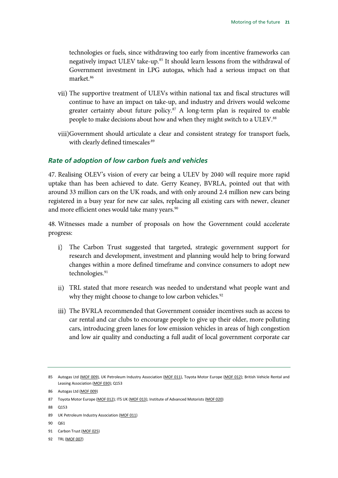technologies or fuels, since withdrawing too early from incentive frameworks can negatively impact ULEV take-up.<sup>[85](#page-22-1)</sup> It should learn lessons from the withdrawal of Government investment in LPG autogas, which had a serious impact on that market[.86](#page-22-2)

- The supportive treatment of ULEVs within national tax and fiscal structures will continue to have an impact on take-up, and industry and drivers would welcome greater certainty about future policy.<sup>[87](#page-22-3)</sup> A long-term plan is required to enable people to make decisions about how and when they might switch to a ULEV.<sup>[88](#page-22-4)</sup>
- viii) Government should articulate a clear and consistent strategy for transport fuels, with clearly defined timescales.<sup>[89](#page-22-5)</sup>

#### <span id="page-22-0"></span>*Rate of adoption of low carbon fuels and vehicles*

47. Realising OLEV's vision of every car being a ULEV by 2040 will require more rapid uptake than has been achieved to date. Gerry Keaney, BVRLA, pointed out that with around 33 million cars on the UK roads, and with only around 2.4 million new cars being registered in a busy year for new car sales, replacing all existing cars with newer, cleaner and more efficient ones would take many years.<sup>90</sup>

48. Witnesses made a number of proposals on how the Government could accelerate progress:

- $i)$ The Carbon Trust suggested that targeted, strategic government support for research and development, investment and planning would help to bring forward changes within a more defined timeframe and convince consumers to adopt new technologies.<sup>[91](#page-22-7)</sup>
- TRL stated that more research was needed to understand what people want and why they might choose to change to low carbon vehicles.<sup>[92](#page-22-8)</sup>
- iii) The BVRLA recommended that Government consider incentives such as access to car rental and car clubs to encourage people to give up their older, more polluting cars, introducing green lanes for low emission vehicles in areas of high congestion and low air quality and conducting a full audit of local government corporate car

<span id="page-22-3"></span>87 Toyota Motor Europe [\(MOF 012\)](http://data.parliament.uk/writtenevidence/committeeevidence.svc/evidencedocument/transport-committee/motoring-of-the-future/written/12488.html); ITS UK [\(MOF 013\)](http://data.parliament.uk/writtenevidence/committeeevidence.svc/evidencedocument/transport-committee/motoring-of-the-future/written/12493.html); Institute of Advanced Motorists [\(MOF 020\)](http://data.parliament.uk/writtenevidence/committeeevidence.svc/evidencedocument/transport-committee/motoring-of-the-future/written/12554.html)

<span id="page-22-4"></span>88 Q153

- <span id="page-22-5"></span>89 UK Petroleum Industry Association [\(MOF 011\)](http://data.parliament.uk/writtenevidence/committeeevidence.svc/evidencedocument/transport-committee/motoring-of-the-future/written/12478.html)
- <span id="page-22-6"></span>90 Q61
- <span id="page-22-7"></span>91 Carbon Trust [\(MOF 025\)](http://data.parliament.uk/writtenevidence/committeeevidence.svc/evidencedocument/transport-committee/motoring-of-the-future/written/12597.html)

<span id="page-22-8"></span>92 TRL [\(MOF 007\)](http://data.parliament.uk/writtenevidence/committeeevidence.svc/evidencedocument/transport-committee/motoring-of-the-future/written/12438.html)

<span id="page-22-1"></span><sup>85</sup> Autogas Ltd [\(MOF 009\)](http://data.parliament.uk/writtenevidence/committeeevidence.svc/evidencedocument/transport-committee/motoring-of-the-future/written/12473.html), UK Petroleum Industry Association [\(MOF 011\),](http://data.parliament.uk/writtenevidence/committeeevidence.svc/evidencedocument/transport-committee/motoring-of-the-future/written/12478.html) Toyota Motor Europe [\(MOF 012\);](http://data.parliament.uk/writtenevidence/committeeevidence.svc/evidencedocument/transport-committee/motoring-of-the-future/written/12488.html) British Vehicle Rental and Leasing Association [\(MOF 030\)](http://data.parliament.uk/writtenevidence/committeeevidence.svc/evidencedocument/transport-committee/motoring-of-the-future/written/12694.html); Q153

<span id="page-22-2"></span><sup>86</sup> Autogas Ltd [\(MOF 009\)](http://data.parliament.uk/writtenevidence/committeeevidence.svc/evidencedocument/transport-committee/motoring-of-the-future/written/12473.html)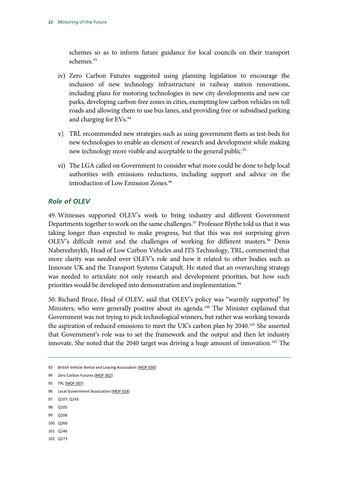schemes so as to inform future guidance for local councils on their transport schemes.<sup>93</sup>

- iv) Zero Carbon Futures suggested using planning legislation to encourage the inclusion of new technology infrastructure in railway station renovations, including plans for motoring technologies in new city developments and new car parks, developing carbon-free zones in cities, exempting low carbon vehicles on toll roads and allowing them to use bus lanes, and providing free or subsidised parking and charging for EVs[.94](#page-23-2)
- TRL recommended new strategies such as using government fleets as test-beds for new technologies to enable an element of research and development while making new technology more visible and acceptable to the general public.<sup>95</sup>
- The LGA called on Government to consider what more could be done to help local authorities with emissions reductions, including support and advice on the introduction of Low Emission Zones.<sup>[96](#page-23-4)</sup>

### <span id="page-23-0"></span>*Role of OLEV*

49. Witnesses supported OLEV's work to bring industry and different Government Departments together to work on the same challenges.<sup>[97](#page-23-5)</sup> Professor Blythe told us that it was taking longer than expected to make progress, but that this was not surprising given OLEV's difficult remit and the challenges of working for different masters.<sup>[98](#page-23-6)</sup> Denis Naberezhnykh, Head of Low Carbon Vehicles and ITS Technology, TRL, commented that more clarity was needed over OLEV's role and how it related to other bodies such as Innovate UK and the Transport Systems Catapult. He stated that an overarching strategy was needed to articulate not only research and development priorities, but how such priorities would be developed into demonstration and implementation.<sup>[99](#page-23-7)</sup>

50. Richard Bruce, Head of OLEV, said that OLEV's policy was "warmly supported" by Ministers, who were generally positive about its agenda.<sup>[100](#page-23-8)</sup> The Minister explained that Government was not trying to pick technological winners, but rather was working towards the aspiration of reduced emissions to meet the UK's carbon plan by 2040.<sup>101</sup> She asserted that Government's role was to set the framework and the output and then let industry innovate. She noted that the 2040 target was driving a huge amount of innovation.<sup>[102](#page-23-10)</sup> The

- <span id="page-23-4"></span>96 Local Government Association [\(MOF 018\)](http://data.parliament.uk/writtenevidence/committeeevidence.svc/evidencedocument/transport-committee/motoring-of-the-future/written/12552.html)
- <span id="page-23-5"></span>97 Q107; Q143
- <span id="page-23-6"></span>98 Q105
- <span id="page-23-8"></span><span id="page-23-7"></span>99 Q106
- 100 0260
- <span id="page-23-9"></span>101 Q246
- <span id="page-23-10"></span>102 Q273

<span id="page-23-1"></span><sup>93</sup> British Vehicle Rental and Leasing Association [\(MOF 030\)](http://data.parliament.uk/writtenevidence/committeeevidence.svc/evidencedocument/transport-committee/motoring-of-the-future/written/12694.html)

<span id="page-23-2"></span><sup>94</sup> Zero Carbon Futures [\(MOF 002\)](http://data.parliament.uk/writtenevidence/committeeevidence.svc/evidencedocument/transport-committee/motoring-of-the-future/written/11731.html)

<span id="page-23-3"></span><sup>95</sup> TRL [\(MOF 007\)](http://data.parliament.uk/writtenevidence/committeeevidence.svc/evidencedocument/transport-committee/motoring-of-the-future/written/12438.html)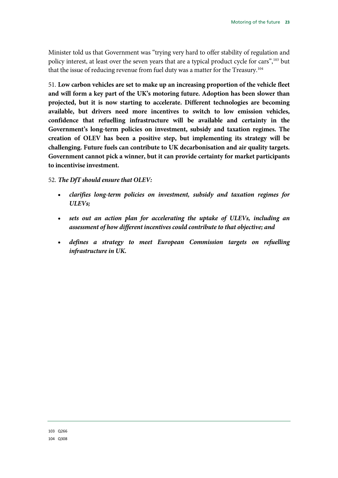Minister told us that Government was "trying very hard to offer stability of regulation and policy interest, at least over the seven years that are a typical product cycle for cars"[,103](#page-24-0) but that the issue of reducing revenue from fuel duty was a matter for the Treasury.<sup>[104](#page-24-1)</sup>

<span id="page-24-2"></span>51. **Low carbon vehicles are set to make up an increasing proportion of the vehicle fleet and will form a key part of the UK's motoring future. Adoption has been slower than projected, but it is now starting to accelerate. Different technologies are becoming available, but drivers need more incentives to switch to low emission vehicles, confidence that refuelling infrastructure will be available and certainty in the Government's long-term policies on investment, subsidy and taxation regimes. The creation of OLEV has been a positive step, but implementing its strategy will be challenging. Future fuels can contribute to UK decarbonisation and air quality targets. Government cannot pick a winner, but it can provide certainty for market participants to incentivise investment.**

#### <span id="page-24-3"></span>52. *The DfT should ensure that OLEV:*

- <span id="page-24-4"></span>• *clarifies long-term policies on investment, subsidy and taxation regimes for ULEVs;*
- <span id="page-24-5"></span>• *sets out an action plan for accelerating the uptake of ULEVs, including an assessment of how different incentives could contribute to that objective; and*
- <span id="page-24-6"></span><span id="page-24-1"></span><span id="page-24-0"></span>• *defines a strategy to meet European Commission targets on refuelling infrastructure in UK.*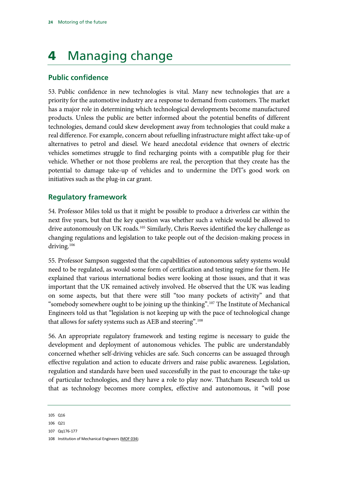# <span id="page-25-0"></span>4 Managing change

# <span id="page-25-1"></span>**Public confidence**

53. Public confidence in new technologies is vital. Many new technologies that are a priority for the automotive industry are a response to demand from customers. The market has a major role in determining which technological developments become manufactured products. Unless the public are better informed about the potential benefits of different technologies, demand could skew development away from technologies that could make a real difference. For example, concern about refuelling infrastructure might affect take-up of alternatives to petrol and diesel. We heard anecdotal evidence that owners of electric vehicles sometimes struggle to find recharging points with a compatible plug for their vehicle. Whether or not those problems are real, the perception that they create has the potential to damage take-up of vehicles and to undermine the DfT's good work on initiatives such as the plug-in car grant.

# <span id="page-25-2"></span>**Regulatory framework**

54. Professor Miles told us that it might be possible to produce a driverless car within the next five years, but that the key question was whether such a vehicle would be allowed to drive autonomously on UK roads.<sup>[105](#page-25-3)</sup> Similarly, Chris Reeves identified the key challenge as changing regulations and legislation to take people out of the decision-making process in driving.<sup>[106](#page-25-4)</sup>

55. Professor Sampson suggested that the capabilities of autonomous safety systems would need to be regulated, as would some form of certification and testing regime for them. He explained that various international bodies were looking at those issues, and that it was important that the UK remained actively involved. He observed that the UK was leading on some aspects, but that there were still "too many pockets of activity" and that "somebody somewhere ought to be joining up the thinking".<sup>107</sup> The Institute of Mechanical Engineers told us that "legislation is not keeping up with the pace of technological change that allows for safety systems such as AEB and steering".<sup>[108](#page-25-6)</sup>

56. An appropriate regulatory framework and testing regime is necessary to guide the development and deployment of autonomous vehicles. The public are understandably concerned whether self-driving vehicles are safe. Such concerns can be assuaged through effective regulation and action to educate drivers and raise public awareness. Legislation, regulation and standards have been used successfully in the past to encourage the take-up of particular technologies, and they have a role to play now. Thatcham Research told us that as technology becomes more complex, effective and autonomous, it "will pose

<span id="page-25-3"></span><sup>105</sup> Q16

<span id="page-25-4"></span><sup>106</sup> Q21

<span id="page-25-5"></span><sup>107</sup> Qq176-177

<span id="page-25-6"></span><sup>108</sup> Institution of Mechanical Engineers [\(MOF 034\)](http://data.parliament.uk/writtenevidence/committeeevidence.svc/evidencedocument/transport-committee/motoring-of-the-future/written/12953.html)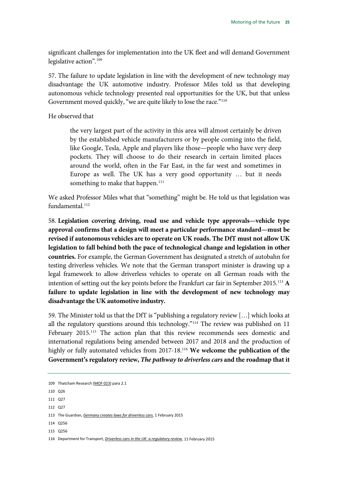significant challenges for implementation into the UK fleet and will demand Government legislative action".<sup>[109](#page-26-0)</sup>

57. The failure to update legislation in line with the development of new technology may disadvantage the UK automotive industry. Professor Miles told us that developing autonomous vehicle technology presented real opportunities for the UK, but that unless Government moved quickly, "we are quite likely to lose the race."<sup>[110](#page-26-1)</sup>

He observed that

the very largest part of the activity in this area will almost certainly be driven by the established vehicle manufacturers or by people coming into the field, like Google, Tesla, Apple and players like those—people who have very deep pockets. They will choose to do their research in certain limited places around the world, often in the Far East, in the far west and sometimes in Europe as well. The UK has a very good opportunity … but it needs something to make that happen.<sup>[111](#page-26-2)</sup>

We asked Professor Miles what that "something" might be. He told us that legislation was fundamental<sup>[112](#page-26-3)</sup>

<span id="page-26-8"></span>58. **Legislation covering driving, road use and vehicle type approvals—vehicle type approval confirms that a design will meet a particular performance standard—must be revised if autonomous vehicles are to operate on UK roads. The DfT must not allow UK legislation to fall behind both the pace of technological change and legislation in other countries.** For example, the German Government has designated a stretch of autobahn for testing driverless vehicles. We note that the German transport minister is drawing up a legal framework to allow driverless vehicles to operate on all German roads with the intention of setting out the key points before the Frankfurt car fair in September 2015.[113](#page-26-4) **A failure to update legislation in line with the development of new technology may disadvantage the UK automotive industry.**

<span id="page-26-9"></span>59. The Minister told us that the DfT is "publishing a regulatory review […] which looks at all the regulatory questions around this technology."[114](#page-26-5) The review was published on 11 February 2015.<sup>[115](#page-26-6)</sup> The action plan that this review recommends sees domestic and international regulations being amended between 2017 and 2018 and the production of highly or fully automated vehicles from 2017-18.[116](#page-26-7) **We welcome the publication of the Government's regulatory review,** *The pathway to driverless cars* **and the roadmap that it** 

- <span id="page-26-2"></span>111 Q27
- <span id="page-26-3"></span>112 Q27

- <span id="page-26-6"></span><span id="page-26-5"></span>114 Q256
- 115 Q256

<span id="page-26-10"></span><span id="page-26-0"></span><sup>109</sup> Thatcham Research [\(MOF 023\)](http://data.parliament.uk/writtenevidence/committeeevidence.svc/evidencedocument/transport-committee/motoring-of-the-future/written/12580.html) para 2.1

<span id="page-26-1"></span><sup>110</sup> Q26

<span id="page-26-4"></span><sup>113</sup> The Guardian, *[Germany creates laws for driverless cars](http://www.theguardian.com/technology/2015/feb/01/germany-laws-driverless-cars-autobahns-google-industry)*, 1 February 2015

<span id="page-26-7"></span><sup>116</sup> Department for Transport, *[Driverless cars in the UK: a regulatory review](https://www.gov.uk/government/publications/driverless-cars-in-the-uk-a-regulatory-review)*, 11 February 2015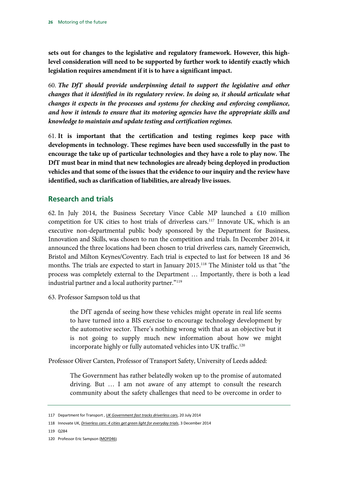**sets out for changes to the legislative and regulatory framework. However, this highlevel consideration will need to be supported by further work to identify exactly which legislation requires amendment if it is to have a significant impact.**

<span id="page-27-5"></span>60. *The DfT should provide underpinning detail to support the legislative and other changes that it identified in its regulatory review. In doing so, it should articulate what changes it expects in the processes and systems for checking and enforcing compliance, and how it intends to ensure that its motoring agencies have the appropriate skills and knowledge to maintain and update testing and certification regimes.*

<span id="page-27-6"></span>61. **It is important that the certification and testing regimes keep pace with developments in technology. These regimes have been used successfully in the past to encourage the take up of particular technologies and they have a role to play now. The DfT must bear in mind that new technologies are already being deployed in production vehicles and that some of the issues that the evidence to our inquiry and the review have identified, such as clarification of liabilities, are already live issues.**

# <span id="page-27-0"></span>**Research and trials**

62. In July 2014, the Business Secretary Vince Cable MP launched a £10 million competition for UK cities to host trials of driverless cars.<sup>[117](#page-27-1)</sup> Innovate UK, which is an executive non-departmental public body sponsored by the Department for Business, Innovation and Skills, was chosen to run the competition and trials. In December 2014, it announced the three locations had been chosen to trial driverless cars, namely Greenwich, Bristol and Milton Keynes/Coventry. Each trial is expected to last for between 18 and 36 months. The trials are expected to start in January 2015.<sup>[118](#page-27-2)</sup> The Minister told us that "the process was completely external to the Department … Importantly, there is both a lead industrial partner and a local authority partner."<sup>[119](#page-27-3)</sup>

63. Professor Sampson told us that

the DfT agenda of seeing how these vehicles might operate in real life seems to have turned into a BIS exercise to encourage technology development by the automotive sector. There's nothing wrong with that as an objective but it is not going to supply much new information about how we might incorporate highly or fully automated vehicles into UK traffic.<sup>[120](#page-27-4)</sup>

Professor Oliver Carsten, Professor of Transport Safety, University of Leeds added:

The Government has rather belatedly woken up to the promise of automated driving. But … I am not aware of any attempt to consult the research community about the safety challenges that need to be overcome in order to

<span id="page-27-3"></span>119 Q284

<span id="page-27-1"></span><sup>117</sup> Department for Transport , *[UK Government fast tracks driverless cars](https://www.gov.uk/government/news/uk-government-fast-tracks-driverless-cars)*, 20 July 2014

<span id="page-27-2"></span><sup>118</sup> Innovate UK, *[Driverless cars: 4 cities get green light for everyday trials](https://www.gov.uk/government/news/driverless-cars-4-cities-get-green-light-for-everyday-trials)*, 3 December 2014

<span id="page-27-4"></span><sup>120</sup> Professor Eric Sampson [\(MOF046\)](https://hopuk.sharepoint.com/sites/committees/transport/_layouts/15/WopiFrame.aspx?sourcedoc=%7b242D6F4D-8AE4-4723-84AF-A8ED8AC896A1%7d&file=MOF0046%20Eric%20Sampson%20(MOF0046).docx&action=default)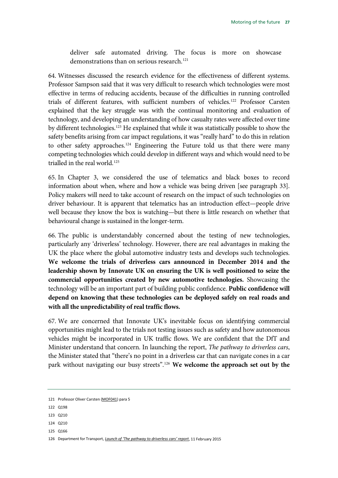deliver safe automated driving. The focus is more on showcase demonstrations than on serious research.<sup>[121](#page-28-0)</sup>

64. Witnesses discussed the research evidence for the effectiveness of different systems. Professor Sampson said that it was very difficult to research which technologies were most effective in terms of reducing accidents, because of the difficulties in running controlled trials of different features, with sufficient numbers of vehicles[.122](#page-28-1) Professor Carsten explained that the key struggle was with the continual monitoring and evaluation of technology, and developing an understanding of how casualty rates were affected over time by different technologies.[123](#page-28-2) He explained that while it was statistically possible to show the safety benefits arising from car impact regulations, it was "really hard" to do this in relation to other safety approaches.<sup>[124](#page-28-3)</sup> Engineering the Future told us that there were many competing technologies which could develop in different ways and which would need to be trialled in the real world.<sup>125</sup>

65. In Chapter 3, we considered the use of telematics and black boxes to record information about when, where and how a vehicle was being driven [see paragraph 33]. Policy makers will need to take account of research on the impact of such technologies on driver behaviour. It is apparent that telematics has an introduction effect—people drive well because they know the box is watching—but there is little research on whether that behavioural change is sustained in the longer-term.

<span id="page-28-6"></span>66. The public is understandably concerned about the testing of new technologies, particularly any 'driverless' technology. However, there are real advantages in making the UK the place where the global automotive industry tests and develops such technologies. **We welcome the trials of driverless cars announced in December 2014 and the leadership shown by Innovate UK on ensuring the UK is well positioned to seize the commercial opportunities created by new automotive technologies.** Showcasing the technology will be an important part of building public confidence. **Public confidence will depend on knowing that these technologies can be deployed safely on real roads and with all the unpredictability of real traffic flows.**

<span id="page-28-7"></span>67. We are concerned that Innovate UK's inevitable focus on identifying commercial opportunities might lead to the trials not testing issues such as safety and how autonomous vehicles might be incorporated in UK traffic flows. We are confident that the DfT and Minister understand that concern. In launching the report, *The pathway to driverless cars*, the Minister stated that "there's no point in a driverless car that can navigate cones in a car park without navigating our busy streets".<sup>[126](#page-28-5)</sup> We welcome the approach set out by the

<span id="page-28-4"></span>125 Q166

<span id="page-28-8"></span><span id="page-28-0"></span><sup>121</sup> Professor Oliver Carsten [\(MOF041\)](http://data.parliament.uk/writtenevidence/committeeevidence.svc/evidencedocument/transport-committee/motoring-of-the-future/written/15015.html) para 5

<span id="page-28-1"></span><sup>122</sup> Q198

<span id="page-28-2"></span><sup>123</sup> Q210

<span id="page-28-3"></span><sup>124 0210</sup> 

<span id="page-28-5"></span><sup>126</sup> Department for Transport, *[Launch of 'The pathway to driverless cars' report](https://www.gov.uk/government/speeches/launch-of-the-pathway-to-driverless-cars-report)*, 11 February 2015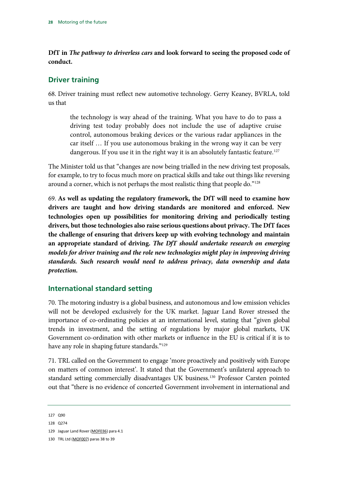**DfT in** *The pathway to driverless cars* **and look forward to seeing the proposed code of conduct.**

### <span id="page-29-0"></span>**Driver training**

68. Driver training must reflect new automotive technology. Gerry Keaney, BVRLA, told us that

the technology is way ahead of the training. What you have to do to pass a driving test today probably does not include the use of adaptive cruise control, autonomous braking devices or the various radar appliances in the car itself … If you use autonomous braking in the wrong way it can be very dangerous. If you use it in the right way it is an absolutely fantastic feature.<sup>[127](#page-29-2)</sup>

The Minister told us that "changes are now being trialled in the new driving test proposals, for example, to try to focus much more on practical skills and take out things like reversing around a corner, which is not perhaps the most realistic thing that people do."<sup>[128](#page-29-3)</sup>

<span id="page-29-7"></span><span id="page-29-6"></span>69. **As well as updating the regulatory framework, the DfT will need to examine how drivers are taught and how driving standards are monitored and enforced. New technologies open up possibilities for monitoring driving and periodically testing drivers, but those technologies also raise serious questions about privacy. The DfT faces the challenge of ensuring that drivers keep up with evolving technology and maintain an appropriate standard of driving.** *The DfT should undertake research on emerging models for driver training and the role new technologies might play in improving driving standards. Such research would need to address privacy, data ownership and data protection.*

### <span id="page-29-1"></span>**International standard setting**

70. The motoring industry is a global business, and autonomous and low emission vehicles will not be developed exclusively for the UK market. Jaguar Land Rover stressed the importance of co-ordinating policies at an international level, stating that "given global trends in investment, and the setting of regulations by major global markets, UK Government co-ordination with other markets or influence in the EU is critical if it is to have any role in shaping future standards."<sup>[129](#page-29-4)</sup>

71. TRL called on the Government to engage 'more proactively and positively with Europe on matters of common interest'. It stated that the Government's unilateral approach to standard setting commercially disadvantages UK business[.130](#page-29-5) Professor Carsten pointed out that "there is no evidence of concerted Government involvement in international and

129 Jaguar Land Rover [\(MOF036\)](http://data.parliament.uk/writtenevidence/committeeevidence.svc/evidencedocument/transport-committee/motoring-of-the-future/written/13269.html) para 4.1

<span id="page-29-2"></span><sup>127</sup> Q90

<span id="page-29-4"></span><span id="page-29-3"></span><sup>128</sup> Q274

<span id="page-29-5"></span><sup>130</sup> TRL Ltd [\(MOF007\)](http://data.parliament.uk/writtenevidence/committeeevidence.svc/evidencedocument/transport-committee/motoring-of-the-future/written/12438.html) paras 38 to 39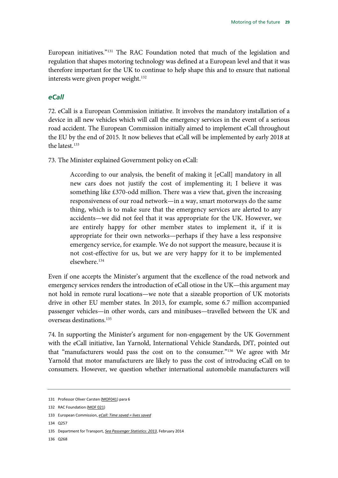European initiatives.["131](#page-30-1) The RAC Foundation noted that much of the legislation and regulation that shapes motoring technology was defined at a European level and that it was therefore important for the UK to continue to help shape this and to ensure that national interests were given proper weight.<sup>132</sup>

#### <span id="page-30-0"></span>*eCall*

72. eCall is a European Commission initiative. It involves the mandatory installation of a device in all new vehicles which will call the emergency services in the event of a serious road accident. The European Commission initially aimed to implement eCall throughout the EU by the end of 2015. It now believes that eCall will be implemented by early 2018 at the latest.<sup>[133](#page-30-3)</sup>

73. The Minister explained Government policy on eCall:

According to our analysis, the benefit of making it [eCall] mandatory in all new cars does not justify the cost of implementing it; I believe it was something like £370-odd million. There was a view that, given the increasing responsiveness of our road network—in a way, smart motorways do the same thing, which is to make sure that the emergency services are alerted to any accidents—we did not feel that it was appropriate for the UK. However, we are entirely happy for other member states to implement it, if it is appropriate for their own networks—perhaps if they have a less responsive emergency service, for example. We do not support the measure, because it is not cost-effective for us, but we are very happy for it to be implemented elsewhere.[134](#page-30-4)

Even if one accepts the Minister's argument that the excellence of the road network and emergency services renders the introduction of eCall otiose in the UK—this argument may not hold in remote rural locations—we note that a sizeable proportion of UK motorists drive in other EU member states. In 2013, for example, some 6.7 million accompanied passenger vehicles—in other words, cars and minibuses—travelled between the UK and overseas destinations.[135](#page-30-5)

74. In supporting the Minister's argument for non-engagement by the UK Government with the eCall initiative, Ian Yarnold, International Vehicle Standards, DfT, pointed out that "manufacturers would pass the cost on to the consumer."[136](#page-30-6) We agree with Mr Yarnold that motor manufacturers are likely to pass the cost of introducing eCall on to consumers. However, we question whether international automobile manufacturers will

<span id="page-30-4"></span>134 0257

<span id="page-30-6"></span>136 Q268

<span id="page-30-1"></span><sup>131</sup> Professor Oliver Carsten [\(MOF041\)](http://data.parliament.uk/writtenevidence/committeeevidence.svc/evidencedocument/transport-committee/motoring-of-the-future/written/15015.html) para 6

<span id="page-30-2"></span><sup>132</sup> RAC Foundation [\(MOF 021\)](http://data.parliament.uk/writtenevidence/committeeevidence.svc/evidencedocument/transport-committee/motoring-of-the-future/written/12556.html)

<span id="page-30-3"></span><sup>133</sup> European Commission, *[eCall: Time saved = lives saved](http://ec.europa.eu/digital-agenda/en/ecall-time-saved-lives-saved)*

<span id="page-30-5"></span><sup>135</sup> Department for Transport, *[Sea Passenger Statistics: 2013](https://www.gov.uk/government/statistics/sea-passenger-statistics-2013)*, February 2014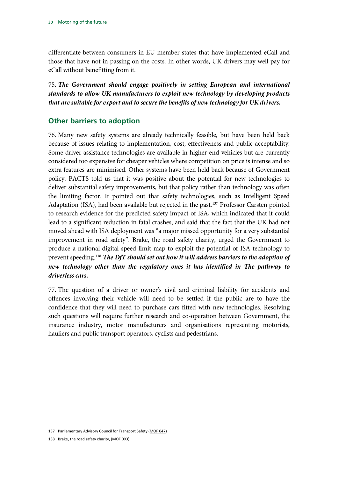differentiate between consumers in EU member states that have implemented eCall and those that have not in passing on the costs. In other words, UK drivers may well pay for eCall without benefitting from it.

<span id="page-31-3"></span>75. *The Government should engage positively in setting European and international standards to allow UK manufacturers to exploit new technology by developing products that are suitable for export and to secure the benefits of new technology for UK drivers.*

### <span id="page-31-0"></span>**Other barriers to adoption**

76. Many new safety systems are already technically feasible, but have been held back because of issues relating to implementation, cost, effectiveness and public acceptability. Some driver assistance technologies are available in higher-end vehicles but are currently considered too expensive for cheaper vehicles where competition on price is intense and so extra features are minimised. Other systems have been held back because of Government policy. PACTS told us that it was positive about the potential for new technologies to deliver substantial safety improvements, but that policy rather than technology was often the limiting factor. It pointed out that safety technologies, such as Intelligent Speed Adaptation (ISA), had been available but rejected in the past.<sup>[137](#page-31-1)</sup> Professor Carsten pointed to research evidence for the predicted safety impact of ISA, which indicated that it could lead to a significant reduction in fatal crashes, and said that the fact that the UK had not moved ahead with ISA deployment was "a major missed opportunity for a very substantial improvement in road safety". Brake, the road safety charity, urged the Government to produce a national digital speed limit map to exploit the potential of ISA technology to prevent speeding.[138](#page-31-2) *The DfT should set out how it will address barriers to the adoption of new technology other than the regulatory ones it has identified in The pathway to driverless cars.*

<span id="page-31-4"></span>77. The question of a driver or owner's civil and criminal liability for accidents and offences involving their vehicle will need to be settled if the public are to have the confidence that they will need to purchase cars fitted with new technologies. Resolving such questions will require further research and co-operation between Government, the insurance industry, motor manufacturers and organisations representing motorists, hauliers and public transport operators, cyclists and pedestrians.

<span id="page-31-2"></span><span id="page-31-1"></span><sup>137</sup> Parliamentary Advisory Council for Transport Safety [\(MOF 047\)](http://data.parliament.uk/writtenevidence/committeeevidence.svc/evidencedocument/transport-committee/motoring-of-the-future/written/12232.html)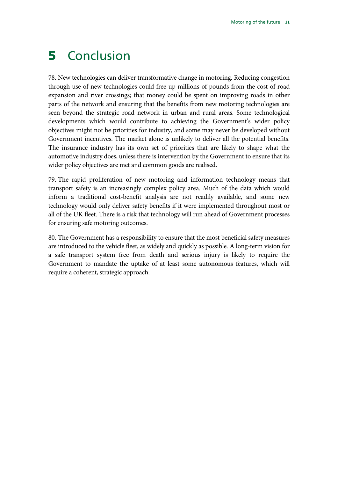# <span id="page-32-0"></span>5 Conclusion

78. New technologies can deliver transformative change in motoring. Reducing congestion through use of new technologies could free up millions of pounds from the cost of road expansion and river crossings; that money could be spent on improving roads in other parts of the network and ensuring that the benefits from new motoring technologies are seen beyond the strategic road network in urban and rural areas. Some technological developments which would contribute to achieving the Government's wider policy objectives might not be priorities for industry, and some may never be developed without Government incentives. The market alone is unlikely to deliver all the potential benefits. The insurance industry has its own set of priorities that are likely to shape what the automotive industry does, unless there is intervention by the Government to ensure that its wider policy objectives are met and common goods are realised.

79. The rapid proliferation of new motoring and information technology means that transport safety is an increasingly complex policy area. Much of the data which would inform a traditional cost-benefit analysis are not readily available, and some new technology would only deliver safety benefits if it were implemented throughout most or all of the UK fleet. There is a risk that technology will run ahead of Government processes for ensuring safe motoring outcomes.

80. The Government has a responsibility to ensure that the most beneficial safety measures are introduced to the vehicle fleet, as widely and quickly as possible. A long-term vision for a safe transport system free from death and serious injury is likely to require the Government to mandate the uptake of at least some autonomous features, which will require a coherent, strategic approach.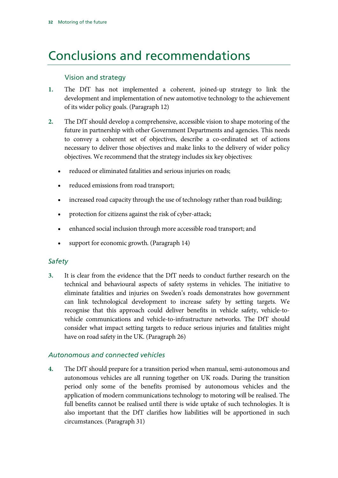# <span id="page-33-0"></span>Conclusions and recommendations

### Vision and strategy

- **1.** [The DfT has not implemented a coherent, joined-up strategy to link the](#page-10-2)  [development and implementation of new automotive technology to the achievement](#page-10-2)  [of its wider policy goals.](#page-10-2) (Paragrap[h 12\)](#page-10-2)
- **2.** [The DfT should develop a comprehensive, accessible vision to shape motoring of the](#page-10-3)  [future in partnership with other Government Departments and agencies. This needs](#page-10-3)  [to convey a coherent set of objectives, describe a co-ordinated set of actions](#page-10-3)  [necessary to deliver those objectives and make links to the delivery of wider policy](#page-10-3)  [objectives. We recommend that the strategy includes six key objectives:](#page-10-3)
	- [reduced or eliminated fatalities and serious injuries on roads;](#page-10-4)
	- [reduced emissions from road transport;](#page-10-5)
	- [increased road capacity through the use of technology rather than road building;](#page-10-6)
	- [protection for citizens against the risk of cyber-attack;](#page-11-0)
	- [enhanced social inclusion through more accessible road transport; and](#page-11-1)
	- [support for economic growth.](#page-11-2) (Paragraph 14)

### *Safety*

**3.** [It is clear from the evidence that the DfT needs to conduct further research on the](#page-14-5)  [technical and behavioural aspects of safety systems in vehicles.](#page-14-5) [The initiative to](#page-14-6)  [eliminate fatalities and injuries on Sweden's roads demonstrates how government](#page-14-6)  [can link technological development to increase safety by setting targets. We](#page-14-6)  [recognise that this approach could deliver benefits in vehicle safety, vehicle-to](#page-14-6)[vehicle communications and vehicle-to-infrastructure networks.](#page-14-6) [The DfT should](#page-14-7)  [consider what impact setting targets to reduce serious injuries and fatalities might](#page-14-7)  [have on road safety in the UK.](#page-14-7) (Paragraph [26\)](#page-14-7)

### *Autonomous and connected vehicles*

**4.** [The DfT should prepare for a transition period when manual, semi-autonomous and](#page-15-7)  autonomous vehicles are [all running together on UK roads. During the transition](#page-15-7)  [period only some of the benefits promised by autonomous vehicles and the](#page-15-7)  [application of modern communications technology to motoring will be realised. The](#page-15-7)  [full benefits cannot be realised until there](#page-15-7) is wide uptake of such technologies. [It is](#page-16-4)  [also important that the DfT clarifies how liabilities will be apportioned in such](#page-16-4)  [circumstances.](#page-16-4) (Paragraph [31\)](#page-16-4)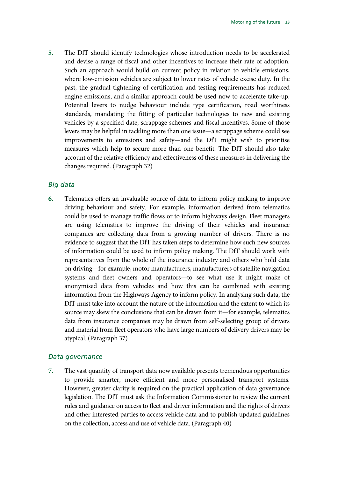**5.** [The DfT should identify technologies whose introduction needs to be accelerated](#page-16-5)  [and devise a range of fiscal and other incentives to increase their rate of adoption.](#page-16-5)  [Such an approach would build on current policy in relation to vehicle emissions,](#page-16-5)  [where low-emission vehicles are subject to lower rates of vehicle excise duty. In the](#page-16-5)  [past, the gradual tightening of certification and testing requirements has reduced](#page-16-5)  [engine emissions, and a similar approach could be used now to accelerate take-up.](#page-16-5)  [Potential levers to nudge behaviour include type certification, road worthiness](#page-16-5)  [standards, mandating the fitting of particular technologies to new and existing](#page-16-5)  [vehicles by a specified date, scrappage schemes and fiscal incentives. Some of those](#page-16-5)  [levers may be helpful in tackling more than one issue—a scrappage scheme could see](#page-16-5)  [improvements to emissions and safety—and the DfT might wish to prioritise](#page-16-5)  [measures which help to secure more than one benefit. The DfT should also take](#page-16-5)  [account of the relative efficiency and effectiveness of these measures in delivering the](#page-16-5)  [changes required.](#page-16-5) (Paragrap[h 32\)](#page-16-5)

#### *Big data*

**6.** [Telematics offers an invaluable source of data to inform policy making to improve](#page-17-8)  [driving behaviour and safety. For example, information derived from telematics](#page-17-8)  [could be used to manage traffic flows or to inform highways design. Fleet managers](#page-17-8)  [are using telematics to improve the driving of their vehicles and insurance](#page-17-8)  [companies are collecting data from a growing number of drivers. There is no](#page-17-8)  [evidence to suggest that the DfT has taken steps to determine how such new sources](#page-17-8)  [of information could be used to inform policy making. The DfT should work with](#page-17-8)  [representatives from the whole of the insurance industry and others who hold data](#page-17-9)  [on driving—for example, motor manufacturers, manufacturers of satellite navigation](#page-17-9)  [systems and fleet owners and operators—to see what use it might make of](#page-17-9)  [anonymised data from vehicles and how this can be combined with existing](#page-17-9)  [information from the Highways Agency to inform policy. In analysing such data, the](#page-17-9)  [DfT must take into account the nature of the information and the extent to which its](#page-17-9)  [source may skew the conclusions that can be drawn from it—for example, telematics](#page-17-9)  [data from insurance companies may be drawn from self-selecting group of drivers](#page-17-9)  [and material from fleet operators who have large numbers of delivery drivers may be](#page-17-9)  [atypical.](#page-17-9) (Paragrap[h 37\)](#page-17-9)

#### *Data governance*

**7.** The vast quantity of transport data [now available presents tremendous opportunities](#page-18-6)  [to provide smarter, more efficient and more personalised transport systems.](#page-18-6) [However, greater clarity is required on the practical application of data governance](#page-18-6)  [legislation.](#page-18-6) [The DfT must ask the Information Commissioner to review the current](#page-18-7)  [rules and guidance on access to fleet and driver information and the rights of drivers](#page-18-7)  [and other interested parties to access vehicle data and to publish updated guidelines](#page-18-7)  [on the collection, access and use of vehicle data.](#page-18-7) (Paragrap[h 40\)](#page-18-7)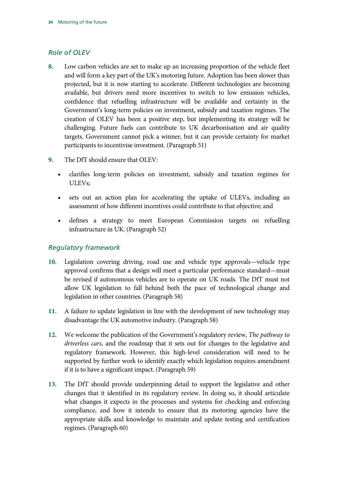### *Role of OLEV*

- **8.** [Low carbon vehicles are set to make up an increasing proportion of the vehicle fleet](#page-24-2)  [and will form a key part of the UK's motoring future. Adoption has been slower than](#page-24-2)  [projected, but it is now starting to accelerate.](#page-24-2) Different technologies are becoming [available, but drivers need more incentives to switch to low emission vehicles,](#page-24-2)  [confidence that refuelling infrastructure will be available and certainty in the](#page-24-2)  [Government's long-term policies on investment, subsidy and](#page-24-2) taxation regimes. The [creation of OLEV has been a positive step, but implementing its strategy will be](#page-24-2)  [challenging. Future fuels can contribute to UK decarbonisation and air quality](#page-24-2)  [targets. Government cannot pick a winner, but it can provide certainty for market](#page-24-2)  [participants to incentivise investment.](#page-24-2) (Paragrap[h 51\)](#page-24-2)
- **9.** [The DfT should ensure that OLEV:](#page-24-3)
	- clarifies [long-term policies on investment, subsidy and taxation regimes for](#page-24-4)  [ULEVs;](#page-24-4)
	- [sets out an action plan for accelerating the uptake of ULEVs, including an](#page-24-5)  [assessment of how different incentives could contribute to that objective; and](#page-24-5)
	- [defines a strategy to meet European Commission targets on refuelling](#page-24-6)  [infrastructure in UK.](#page-24-6) (Paragraph 52)

### *Regulatory framework*

- **10.** [Legislation covering driving, road use and vehicle type approvals—vehicle type](#page-26-8)  [approval confirms that a design will meet a particular performance standard—must](#page-26-8)  [be revised if autonomous vehicles are to operate on UK roads. The DfT must not](#page-26-8)  [allow UK legislation to fall behind both the pace of technological change and](#page-26-8)  [legislation in other countries.](#page-26-8) (Paragraph [58\)](#page-26-8)
- **11.** [A failure to update legislation in line with the development of new technology may](#page-26-9)  [disadvantage the UK automotive industry.](#page-26-9) (Paragrap[h 58\)](#page-26-9)
- **12.** [We welcome the publication of the Government's regulatory review,](#page-26-10) *The pathway to driverless cars*, [and the roadmap that it sets out for changes to the legislative and](#page-26-10)  [regulatory framework. However, this high-level consideration will need to be](#page-26-10)  [supported by further work to identify exactly which legislation requires amendment](#page-26-10)  [if it is to have a significant impact.](#page-26-10) (Paragrap[h 59\)](#page-26-10)
- **13.** [The DfT should provide underpinning detail to support the legislative and other](#page-27-5)  [changes that it identified in its regulatory review. In doing so, it should articulate](#page-27-5)  [what changes it expects in the processes and systems for checking and enforcing](#page-27-5)  [compliance, and how it intends to ensure that its motoring agencies have the](#page-27-5)  [appropriate skills and knowledge to maintain and update testing and certification](#page-27-5)  [regimes.](#page-27-5) (Paragraph [60\)](#page-27-5)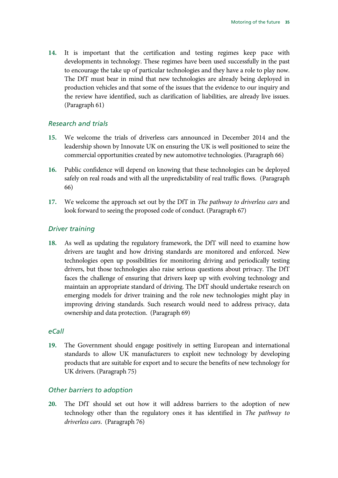**14.** [It is important that the certification and testing regimes keep pace with](#page-27-6)  [developments in technology. These regimes have been used successfully in the past](#page-27-6)  [to encourage the take up of particular technologies and they have a role to play now.](#page-27-6)  [The DfT must bear in mind that new technologies are already being deployed in](#page-27-6)  [production vehicles and that some of the issues that the evidence to our inquiry and](#page-27-6)  [the review have identified, such as clarification of liabilities, are already live issues.](#page-27-6) (Paragrap[h 61\)](#page-27-6)

#### *Research and trials*

- **15.** [We welcome the trials of driverless cars announced in December 2014 and the](#page-28-6)  [leadership shown by Innovate UK on ensuring the UK is well positioned to seize the](#page-28-6)  [commercial opportunities created by new automotive technologies.](#page-28-6) (Paragrap[h 66\)](#page-28-6)
- **16.** [Public confidence will depend on knowing that these technologies can be deployed](#page-28-7)  [safely on real roads and with all the unpredictability of real traffic flows.](#page-28-7) (Paragraph [66\)](#page-28-7)
- **17.** [We welcome the approach set out by the DfT in](#page-28-8) *The pathway to driverless cars* and [look forward to seeing the proposed code of conduct.](#page-28-8) (Paragraph [67\)](#page-28-8)

#### *Driver training*

**18.** [As well as updating the regulatory framework, the DfT will need to examine how](#page-29-6)  [drivers are taught and how driving standards are monitored and enforced. New](#page-29-6)  [technologies open up possibilities for monitoring driving and periodically testing](#page-29-6)  [drivers, but those technologies also raise serious questions about privacy. The DfT](#page-29-6)  [faces the challenge of ensuring that drivers keep up with evolving technology and](#page-29-6)  [maintain an appropriate standard of driving.](#page-29-6) [The DfT should undertake research on](#page-29-7)  [emerging models for driver training and the role new technologies might play in](#page-29-7)  [improving driving standards. Such research would need to address privacy, data](#page-29-7)  [ownership and data protection.](#page-29-7) (Paragrap[h 69\)](#page-29-7)

#### *eCall*

**19.** [The Government should engage positively in setting European and international](#page-31-3)  [standards to allow UK manufacturers to exploit new technology by developing](#page-31-3)  [products that are suitable for export and to secure the benefits of new technology for](#page-31-3)  [UK drivers.](#page-31-3) (Paragraph [75\)](#page-31-3)

#### *Other barriers to adoption*

**20.** [The DfT should set out how it will address barriers to the adoption of new](#page-31-4)  [technology other than the regulatory ones it has identified in](#page-31-4) *The pathway to [driverless cars](#page-31-4)*. (Paragrap[h 76\)](#page-31-4)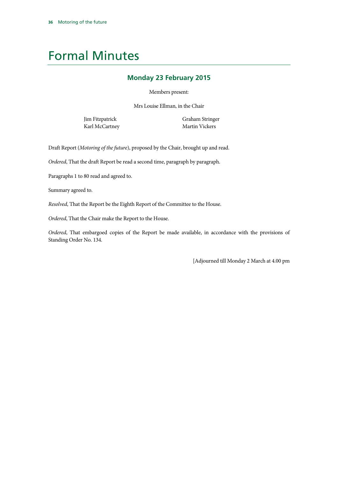# <span id="page-37-0"></span>Formal Minutes

#### **Monday 23 February 2015**

Members present:

Mrs Louise Ellman, in the Chair

Jim Fitzpatrick Karl McCartney Graham Stringer Martin Vickers

Draft Report (*Motoring of the future*), proposed by the Chair, brought up and read.

*Ordered*, That the draft Report be read a second time, paragraph by paragraph.

Paragraphs 1 to 80 read and agreed to.

Summary agreed to.

*Resolved*, That the Report be the Eighth Report of the Committee to the House.

*Ordered*, That the Chair make the Report to the House.

*Ordered*, That embargoed copies of the Report be made available, in accordance with the provisions of Standing Order No. 134.

[Adjourned till Monday 2 March at 4.00 pm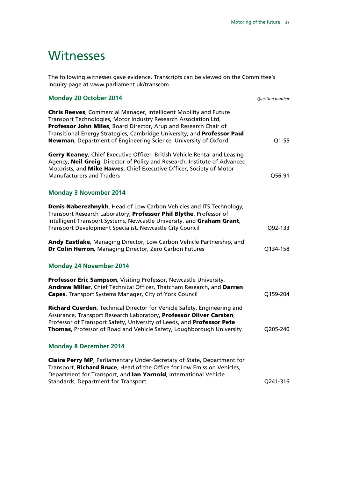# <span id="page-38-0"></span>**Witnesses**

The following witnesses gave evidence. Transcripts can be viewed on the Committee's inquiry page at [www.parliament.uk/transcom.](http://www.parliament.uk/business/committees/committees-a-z/commons-select/transport-committee/inquiries/parliament-2010/motoring-of-the-future/)

| <b>Monday 20 October 2014</b>                                                                                                                                                                                                                                                                                                                            | Question number |
|----------------------------------------------------------------------------------------------------------------------------------------------------------------------------------------------------------------------------------------------------------------------------------------------------------------------------------------------------------|-----------------|
| Chris Reeves, Commercial Manager, Intelligent Mobility and Future<br>Transport Technologies, Motor Industry Research Association Ltd,<br>Professor John Miles, Board Director, Arup and Research Chair of<br>Transitional Energy Strategies, Cambridge University, and Professor Paul<br>Newman, Department of Engineering Science, University of Oxford | $Q1-55$         |
| Gerry Keaney, Chief Executive Officer, British Vehicle Rental and Leasing<br>Agency, Neil Greig, Director of Policy and Research, Institute of Advanced<br>Motorists, and Mike Hawes, Chief Executive Officer, Society of Motor<br><b>Manufacturers and Traders</b>                                                                                      | Q56-91          |
| <b>Monday 3 November 2014</b>                                                                                                                                                                                                                                                                                                                            |                 |
| Denis Naberezhnykh, Head of Low Carbon Vehicles and ITS Technology,<br>Transport Research Laboratory, Professor Phil Blythe, Professor of<br>Intelligent Transport Systems, Newcastle University, and Graham Grant,<br>Transport Development Specialist, Newcastle City Council                                                                          | Q92-133         |
| Andy Eastlake, Managing Director, Low Carbon Vehicle Partnership, and<br>Dr Colin Herron, Managing Director, Zero Carbon Futures                                                                                                                                                                                                                         | Q134-158        |
| <b>Monday 24 November 2014</b>                                                                                                                                                                                                                                                                                                                           |                 |
| Professor Eric Sampson, Visiting Professor, Newcastle University,<br>Andrew Miller, Chief Technical Officer, Thatcham Research, and Darren<br>Capes, Transport Systems Manager, City of York Council                                                                                                                                                     | Q159-204        |
| Richard Cuerden, Technical Director for Vehicle Safety, Engineering and<br>Assurance, Transport Research Laboratory, Professor Oliver Carsten,<br>Professor of Transport Safety, University of Leeds, and Professor Pete<br>Thomas, Professor of Road and Vehicle Safety, Loughborough University                                                        | Q205-240        |
| <b>Monday 8 December 2014</b>                                                                                                                                                                                                                                                                                                                            |                 |
| <b>Claire Perry MP, Parliamentary Under-Secretary of State, Department for</b><br>Transport, Richard Bruce, Head of the Office for Low Emission Vehicles,<br>Department for Transport, and lan Yarnold, International Vehicle<br><b>Standards, Department for Transport</b>                                                                              | Q241-316        |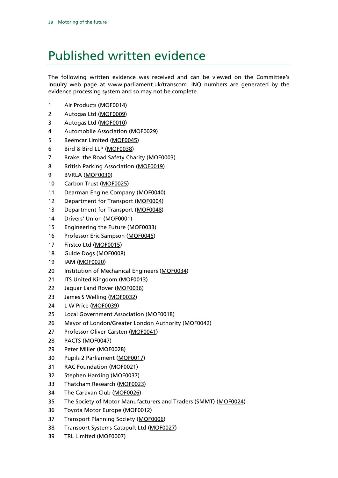# <span id="page-39-0"></span>Published written evidence

The following written evidence was received and can be viewed on the Committee's inquiry web page at [www.parliament.uk/transcom.](http://www.parliament.uk/business/committees/committees-a-z/commons-select/transport-committee/inquiries/parliament-2010/motoring-of-the-future/) INQ numbers are generated by the evidence processing system and so may not be complete.

- Air Products [\(MOF0014\)](http://data.parliament.uk/WrittenEvidence/CommitteeEvidence.svc/EvidenceDocument/Transport/Motoring%20of%20the%20future/written/12507.html)
- Autogas Ltd [\(MOF0009\)](http://data.parliament.uk/WrittenEvidence/CommitteeEvidence.svc/EvidenceDocument/Transport/Motoring%20of%20the%20future/written/12473.html)
- Autogas Ltd [\(MOF0010\)](http://data.parliament.uk/WrittenEvidence/CommitteeEvidence.svc/EvidenceDocument/Transport/Motoring%20of%20the%20future/written/12474.html)
- Automobile Association [\(MOF0029\)](http://data.parliament.uk/WrittenEvidence/CommitteeEvidence.svc/EvidenceDocument/Transport/Motoring%20of%20the%20future/written/12645.html)
- Beemcar Limited [\(MOF0045\)](http://data.parliament.uk/WrittenEvidence/CommitteeEvidence.svc/EvidenceDocument/Transport/Motoring%20of%20the%20future/written/16025.html)
- Bird & Bird LLP [\(MOF0038\)](http://data.parliament.uk/WrittenEvidence/CommitteeEvidence.svc/EvidenceDocument/Transport/Motoring%20of%20the%20future/written/13935.html)
- 7 Brake, the Road Safety Charity [\(MOF0003\)](http://data.parliament.uk/WrittenEvidence/CommitteeEvidence.svc/EvidenceDocument/Transport/Motoring%20of%20the%20future/written/12232.html)
- 8 British Parking Association [\(MOF0019\)](http://data.parliament.uk/WrittenEvidence/CommitteeEvidence.svc/EvidenceDocument/Transport/Motoring%20of%20the%20future/written/12553.html)
- BVRLA [\(MOF0030\)](http://data.parliament.uk/WrittenEvidence/CommitteeEvidence.svc/EvidenceDocument/Transport/Motoring%20of%20the%20future/written/12694.html)
- Carbon Trust [\(MOF0025\)](http://data.parliament.uk/WrittenEvidence/CommitteeEvidence.svc/EvidenceDocument/Transport/Motoring%20of%20the%20future/written/12597.html)
- 11 Dearman Engine Company [\(MOF0040\)](http://data.parliament.uk/WrittenEvidence/CommitteeEvidence.svc/EvidenceDocument/Transport/Motoring%20of%20the%20future/written/14366.html)
- 12 Department for Transport [\(MOF0004\)](http://data.parliament.uk/WrittenEvidence/CommitteeEvidence.svc/EvidenceDocument/Transport/Motoring%20of%20the%20future/written/12385.html)
- 13 Department for Transport [\(MOF0048\)](http://data.parliament.uk/WrittenEvidence/CommitteeEvidence.svc/EvidenceDocument/Transport/Motoring%20of%20the%20future/written/16858.html)
- Drivers' Union [\(MOF0001\)](http://data.parliament.uk/WrittenEvidence/CommitteeEvidence.svc/EvidenceDocument/Transport/Motoring%20of%20the%20future/written/10999.html)
- Engineering the Future [\(MOF0033\)](http://data.parliament.uk/WrittenEvidence/CommitteeEvidence.svc/EvidenceDocument/Transport/Motoring%20of%20the%20future/written/12841.html)
- Professor Eric Sampson [\(MOF0046\)](http://data.parliament.uk/WrittenEvidence/CommitteeEvidence.svc/EvidenceDocument/Transport/Motoring%20of%20the%20future/written/16149.html)
- 17 Firstco Ltd [\(MOF0015\)](http://data.parliament.uk/WrittenEvidence/CommitteeEvidence.svc/EvidenceDocument/Transport/Motoring%20of%20the%20future/written/12516.html)
- Guide Dogs [\(MOF0008\)](http://data.parliament.uk/WrittenEvidence/CommitteeEvidence.svc/EvidenceDocument/Transport/Motoring%20of%20the%20future/written/12466.html)
- IAM [\(MOF0020\)](http://data.parliament.uk/WrittenEvidence/CommitteeEvidence.svc/EvidenceDocument/Transport/Motoring%20of%20the%20future/written/12554.html)
- Institution of Mechanical Engineers [\(MOF0034\)](http://data.parliament.uk/WrittenEvidence/CommitteeEvidence.svc/EvidenceDocument/Transport/Motoring%20of%20the%20future/written/12953.html)
- 21 ITS United Kingdom [\(MOF0013\)](http://data.parliament.uk/WrittenEvidence/CommitteeEvidence.svc/EvidenceDocument/Transport/Motoring%20of%20the%20future/written/12493.html)
- Jaguar Land Rover [\(MOF0036\)](http://data.parliament.uk/WrittenEvidence/CommitteeEvidence.svc/EvidenceDocument/Transport/Motoring%20of%20the%20future/written/13269.html)
- James S Welling [\(MOF0032\)](http://data.parliament.uk/WrittenEvidence/CommitteeEvidence.svc/EvidenceDocument/Transport/Motoring%20of%20the%20future/written/12833.html)
- L W Price [\(MOF0039\)](http://data.parliament.uk/WrittenEvidence/CommitteeEvidence.svc/EvidenceDocument/Transport/Motoring%20of%20the%20future/written/14245.html)
- Local Government Association [\(MOF0018\)](http://data.parliament.uk/WrittenEvidence/CommitteeEvidence.svc/EvidenceDocument/Transport/Motoring%20of%20the%20future/written/12552.html)
- 26 Mayor of London/Greater London Authority [\(MOF0042\)](http://data.parliament.uk/WrittenEvidence/CommitteeEvidence.svc/EvidenceDocument/Transport/Motoring%20of%20the%20future/written/15123.html)
- 27 Professor Oliver Carsten [\(MOF0041\)](http://data.parliament.uk/WrittenEvidence/CommitteeEvidence.svc/EvidenceDocument/Transport/Motoring%20of%20the%20future/written/15015.html)
- PACTS [\(MOF0047\)](http://data.parliament.uk/WrittenEvidence/CommitteeEvidence.svc/EvidenceDocument/Transport/Motoring%20of%20the%20future/written/16651.html)
- Peter Miller [\(MOF0028\)](http://data.parliament.uk/WrittenEvidence/CommitteeEvidence.svc/EvidenceDocument/Transport/Motoring%20of%20the%20future/written/12613.html)
- Pupils 2 Parliament [\(MOF0017\)](http://data.parliament.uk/WrittenEvidence/CommitteeEvidence.svc/EvidenceDocument/Transport/Motoring%20of%20the%20future/written/12542.html)
- RAC Foundation [\(MOF0021\)](http://data.parliament.uk/WrittenEvidence/CommitteeEvidence.svc/EvidenceDocument/Transport/Motoring%20of%20the%20future/written/12556.html)
- Stephen Harding [\(MOF0037\)](http://data.parliament.uk/WrittenEvidence/CommitteeEvidence.svc/EvidenceDocument/Transport/Motoring%20of%20the%20future/written/13739.html)
- Thatcham Research [\(MOF0023\)](http://data.parliament.uk/WrittenEvidence/CommitteeEvidence.svc/EvidenceDocument/Transport/Motoring%20of%20the%20future/written/12580.html)
- The Caravan Club [\(MOF0026\)](http://data.parliament.uk/WrittenEvidence/CommitteeEvidence.svc/EvidenceDocument/Transport/Motoring%20of%20the%20future/written/12606.html)
- The Society of Motor Manufacturers and Traders (SMMT) [\(MOF0024\)](http://data.parliament.uk/WrittenEvidence/CommitteeEvidence.svc/EvidenceDocument/Transport/Motoring%20of%20the%20future/written/12594.html)
- Toyota Motor Europe [\(MOF0012\)](http://data.parliament.uk/WrittenEvidence/CommitteeEvidence.svc/EvidenceDocument/Transport/Motoring%20of%20the%20future/written/12488.html)
- Transport Planning Society [\(MOF0006\)](http://data.parliament.uk/WrittenEvidence/CommitteeEvidence.svc/EvidenceDocument/Transport/Motoring%20of%20the%20future/written/12401.html)
- Transport Systems Catapult Ltd [\(MOF0027\)](http://data.parliament.uk/WrittenEvidence/CommitteeEvidence.svc/EvidenceDocument/Transport/Motoring%20of%20the%20future/written/12610.html)
- TRL Limited [\(MOF0007\)](http://data.parliament.uk/WrittenEvidence/CommitteeEvidence.svc/EvidenceDocument/Transport/Motoring%20of%20the%20future/written/12438.html)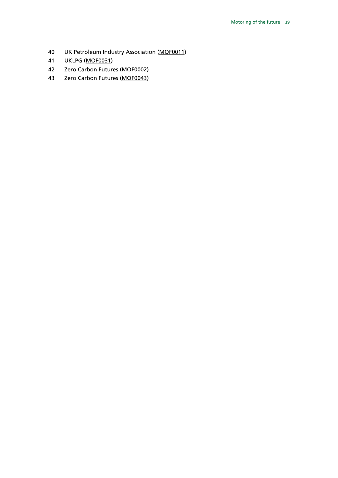- UK Petroleum Industry Association [\(MOF0011\)](http://data.parliament.uk/WrittenEvidence/CommitteeEvidence.svc/EvidenceDocument/Transport/Motoring%20of%20the%20future/written/12478.html)
- UKLPG [\(MOF0031\)](http://data.parliament.uk/WrittenEvidence/CommitteeEvidence.svc/EvidenceDocument/Transport/Motoring%20of%20the%20future/written/12793.html)
- Zero Carbon Futures [\(MOF0002\)](http://data.parliament.uk/WrittenEvidence/CommitteeEvidence.svc/EvidenceDocument/Transport/Motoring%20of%20the%20future/written/11731.html)
- Zero Carbon Futures [\(MOF0043\)](http://data.parliament.uk/WrittenEvidence/CommitteeEvidence.svc/EvidenceDocument/Transport/Motoring%20of%20the%20future/written/15177.html)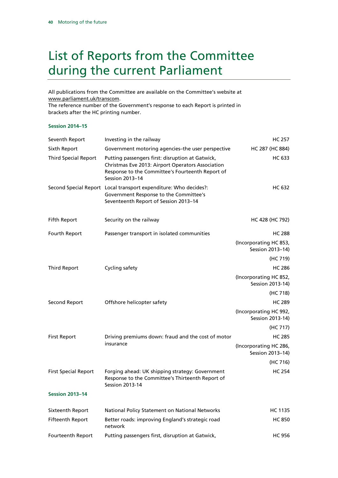# <span id="page-41-0"></span>List of Reports from the Committee during the current Parliament

All publications from the Committee are available on the Committee's website at [www.parliament.uk/transcom.](http://www.parliament.uk/business/committees/committees-a-z/commons-select/transport-committee/publications/)

The reference number of the Government's response to each Report is printed in brackets after the HC printing number.

#### **Session 2014–15**

| Seventh Report              | Investing in the railway                                                                                                                                                     | <b>HC 257</b>                              |
|-----------------------------|------------------------------------------------------------------------------------------------------------------------------------------------------------------------------|--------------------------------------------|
| Sixth Report                | Government motoring agencies-the user perspective                                                                                                                            | HC 287 (HC 884)                            |
| <b>Third Special Report</b> | Putting passengers first: disruption at Gatwick,<br>Christmas Eve 2013: Airport Operators Association<br>Response to the Committee's Fourteenth Report of<br>Session 2013-14 | <b>HC 633</b>                              |
|                             | Second Special Report Local transport expenditure: Who decides?:<br>Government Response to the Committee's<br>Seventeenth Report of Session 2013-14                          | <b>HC 632</b>                              |
| Fifth Report                | Security on the railway                                                                                                                                                      | HC 428 (HC 792)                            |
| Fourth Report               | Passenger transport in isolated communities                                                                                                                                  | <b>HC 288</b>                              |
|                             |                                                                                                                                                                              | (Incorporating HC 853,<br>Session 2013-14) |
|                             |                                                                                                                                                                              | (HC 719)                                   |
| <b>Third Report</b>         | Cycling safety                                                                                                                                                               | <b>HC 286</b>                              |
|                             |                                                                                                                                                                              | (Incorporating HC 852,<br>Session 2013-14) |
|                             |                                                                                                                                                                              | (HC 718)                                   |
| Second Report               | Offshore helicopter safety                                                                                                                                                   | <b>HC 289</b>                              |
|                             |                                                                                                                                                                              | (Incorporating HC 992,<br>Session 2013-14) |
|                             |                                                                                                                                                                              | (HC 717)                                   |
| <b>First Report</b>         | Driving premiums down: fraud and the cost of motor<br>insurance                                                                                                              | <b>HC 285</b>                              |
|                             |                                                                                                                                                                              | (Incorporating HC 286,<br>Session 2013-14) |
|                             |                                                                                                                                                                              | (HC 716)                                   |
| <b>First Special Report</b> | Forging ahead: UK shipping strategy: Government<br>Response to the Committee's Thirteenth Report of<br><b>Session 2013-14</b>                                                | <b>HC 254</b>                              |
| <b>Session 2013-14</b>      |                                                                                                                                                                              |                                            |
| Sixteenth Report            | National Policy Statement on National Networks                                                                                                                               | HC 1135                                    |
| Fifteenth Report            | Better roads: improving England's strategic road<br>network                                                                                                                  | <b>HC 850</b>                              |
| Fourteenth Report           | Putting passengers first, disruption at Gatwick,                                                                                                                             | <b>HC 956</b>                              |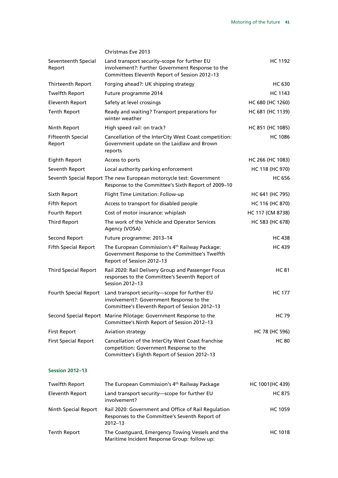|                                    | <b>Christmas Eve 2013</b>                                                                                                                         |                  |
|------------------------------------|---------------------------------------------------------------------------------------------------------------------------------------------------|------------------|
| Seventeenth Special<br>Report      | Land transport security-scope for further EU<br>involvement?: Further Government Response to the<br>Committees Eleventh Report of Session 2012-13 | HC 1192          |
| Thirteenth Report                  | Forging ahead?: UK shipping strategy                                                                                                              | HC 630           |
| <b>Twelfth Report</b>              | Future programme 2014                                                                                                                             | HC 1143          |
| Eleventh Report                    | Safety at level crossings                                                                                                                         | HC 680 (HC 1260) |
| <b>Tenth Report</b>                | Ready and waiting? Transport preparations for<br>winter weather                                                                                   | HC 681 (HC 1139) |
| Ninth Report                       | High speed rail: on track?                                                                                                                        | HC 851 (HC 1085) |
| <b>Fifteenth Special</b><br>Report | Cancellation of the InterCity West Coast competition:<br>Government update on the Laidlaw and Brown<br>reports                                    | <b>HC 1086</b>   |
| <b>Eighth Report</b>               | Access to ports                                                                                                                                   | HC 266 (HC 1083) |
| Seventh Report                     | Local authority parking enforcement                                                                                                               | HC 118 (HC 970)  |
|                                    | Seventh Special Report The new European motorcycle test: Government<br>Response to the Committee's Sixth Report of 2009-10                        | <b>HC 656</b>    |
| Sixth Report                       | Flight Time Limitation: Follow-up                                                                                                                 | HC 641 (HC 795)  |
| <b>Fifth Report</b>                | Access to transport for disabled people                                                                                                           | HC 116 (HC 870)  |
| Fourth Report                      | Cost of motor insurance: whiplash                                                                                                                 | HC 117 (CM 8738) |
| <b>Third Report</b>                | The work of the Vehicle and Operator Services<br>Agency (VOSA)                                                                                    | HC 583 (HC 678)  |
| Second Report                      | Future programme: 2013-14                                                                                                                         | HC 438           |
| <b>Fifth Special Report</b>        | The European Commission's 4 <sup>th</sup> Railway Package:<br>Government Response to the Committee's Twelfth<br>Report of Session 2012-13         | <b>HC 439</b>    |
| <b>Third Special Report</b>        | Rail 2020: Rail Delivery Group and Passenger Focus<br>responses to the Committee's Seventh Report of<br>Session 2012-13                           | HC 81            |
| Fourth Special Report              | Land transport security-scope for further EU<br>involvement?: Government Response to the<br>Committee's Eleventh Report of Session 2012-13        | <b>HC 177</b>    |
|                                    | Second Special Report Marine Pilotage: Government Response to the<br>Committee's Ninth Report of Session 2012-13                                  | <b>HC 79</b>     |
| <b>First Report</b>                | <b>Aviation strategy</b>                                                                                                                          | HC 78 (HC 596)   |
| <b>First Special Report</b>        | Cancellation of the InterCity West Coast franchise<br>competition: Government Response to the<br>Committee's Eighth Report of Session 2012-13     | <b>HC 80</b>     |
| <b>Session 2012-13</b>             |                                                                                                                                                   |                  |
| <b>Twelfth Report</b>              | The European Commission's 4 <sup>th</sup> Railway Package                                                                                         | HC 1001(HC 439)  |
| <b>Eleventh Report</b>             | Land transport security-scope for further EU<br>involvement?                                                                                      | <b>HC 875</b>    |
| Ninth Special Report               | Rail 2020: Government and Office of Rail Regulation<br>Responses to the Committee's Seventh Report of                                             | <b>HC 1059</b>   |

| $2012 - 13$                                      |         |
|--------------------------------------------------|---------|
| The Coastguard, Emergency Towing Vessels and the | HC 1018 |
| Maritime Incident Response Group: follow up:     |         |
|                                                  |         |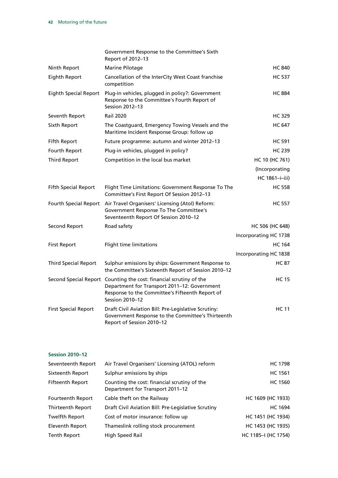|                              | Government Response to the Committee's Sixth<br>Report of 2012-13                                                                                                                        |                       |
|------------------------------|------------------------------------------------------------------------------------------------------------------------------------------------------------------------------------------|-----------------------|
| Ninth Report                 | Marine Pilotage                                                                                                                                                                          | <b>HC 840</b>         |
| <b>Eighth Report</b>         | Cancellation of the InterCity West Coast franchise<br>competition                                                                                                                        | <b>HC 537</b>         |
| <b>Eighth Special Report</b> | Plug-in vehicles, plugged in policy?: Government<br>Response to the Committee's Fourth Report of<br>Session 2012-13                                                                      | <b>HC 884</b>         |
| Seventh Report               | <b>Rail 2020</b>                                                                                                                                                                         | <b>HC 329</b>         |
| Sixth Report                 | The Coastguard, Emergency Towing Vessels and the<br>Maritime Incident Response Group: follow up                                                                                          | <b>HC 647</b>         |
| Fifth Report                 | Future programme: autumn and winter 2012-13                                                                                                                                              | <b>HC 591</b>         |
| Fourth Report                | Plug-in vehicles, plugged in policy?                                                                                                                                                     | <b>HC 239</b>         |
| <b>Third Report</b>          | Competition in the local bus market                                                                                                                                                      | HC 10 (HC 761)        |
|                              |                                                                                                                                                                                          | (Incorporating        |
|                              |                                                                                                                                                                                          | HC 1861-i-iii)        |
| <b>Fifth Special Report</b>  | Flight Time Limitations: Government Response To The<br>Committee's First Report Of Session 2012-13                                                                                       | <b>HC 558</b>         |
| Fourth Special Report        | Air Travel Organisers' Licensing (Atol) Reform:<br>Government Response To The Committee's<br>Seventeenth Report Of Session 2010-12                                                       | <b>HC 557</b>         |
| Second Report                | Road safety                                                                                                                                                                              | HC 506 (HC 648)       |
|                              |                                                                                                                                                                                          | Incorporating HC 1738 |
| <b>First Report</b>          | Flight time limitations                                                                                                                                                                  | <b>HC 164</b>         |
|                              |                                                                                                                                                                                          | Incorporating HC 1838 |
| <b>Third Special Report</b>  | Sulphur emissions by ships: Government Response to<br>the Committee's Sixteenth Report of Session 2010-12                                                                                | <b>HC 87</b>          |
|                              | Second Special Report Counting the cost: financial scrutiny of the<br>Department for Transport 2011-12: Government<br>Response to the Committee's Fifteenth Report of<br>Session 2010-12 | <b>HC 15</b>          |
| <b>First Special Report</b>  | Draft Civil Aviation Bill: Pre-Legislative Scrutiny:<br>Government Response to the Committee's Thirteenth<br>Report of Session 2010-12                                                   | <b>HC 11</b>          |

#### **Session 2010–12**

| Seventeenth Report  | Air Travel Organisers' Licensing (ATOL) reform                                   | <b>HC 1798</b>      |
|---------------------|----------------------------------------------------------------------------------|---------------------|
| Sixteenth Report    | Sulphur emissions by ships                                                       | <b>HC 1561</b>      |
| Fifteenth Report    | Counting the cost: financial scrutiny of the<br>Department for Transport 2011-12 | <b>HC 1560</b>      |
| Fourteenth Report   | Cable theft on the Railway                                                       | HC 1609 (HC 1933)   |
| Thirteenth Report   | Draft Civil Aviation Bill: Pre-Legislative Scrutiny                              | <b>HC 1694</b>      |
| Twelfth Report      | Cost of motor insurance: follow up                                               | HC 1451 (HC 1934)   |
| Eleventh Report     | Thameslink rolling stock procurement                                             | HC 1453 (HC 1935)   |
| <b>Tenth Report</b> | High Speed Rail                                                                  | HC 1185-I (HC 1754) |
|                     |                                                                                  |                     |